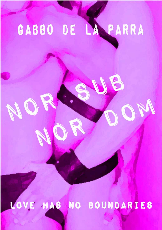# GABBO DE LA PARRA

S

R

ORC

**Report** 

N

B

OM

LOVE HAS NO BOUNDARIES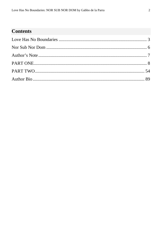# **Contents**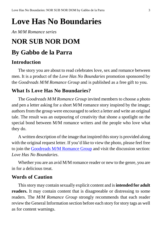# <span id="page-2-0"></span>**Love Has No Boundaries**

#### *An M/M Romance series*

# **NOR SUB NOR DOM**

# **By Gabbo de la Parra**

## **Introduction**

The story you are about to read celebrates love, sex and romance between men. It is a product of the *Love Has No Boundaries* promotion sponsored by the *Goodreads M/M Romance Group* and is published as a free gift to you.

## **What Is Love Has No Boundaries?**

The *Goodreads M/M Romance Group* invited members to choose a photo and pen a letter asking for a short M/M romance story inspired by the image; authors from the group were encouraged to select a letter and write an original tale. The result was an outpouring of creativity that shone a spotlight on the special bond between M/M romance writers and the people who love what they do.

A written description of the image that inspired this story is provided along with the original request letter. If you'd like to view the photo, please feel free to join the [Goodreads M/M Romance Group](http://www.goodreads.com/group/show/20149-m-m-romance) and visit the discussion section: *Love Has No Boundaries*.

Whether you are an avid M/M romance reader or new to the genre, you are in for a delicious treat.

#### **Words of Caution**

This story may contain sexually explicit content and is **intended for adult readers.** It may contain content that is disagreeable or distressing to some readers. The *M/M Romance Group* strongly recommends that each reader review the General Information section before each story for story tags as well as for content warnings.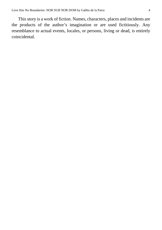This story is a work of fiction. Names, characters, places and incidents are the products of the author's imagination or are used fictitiously. Any resemblance to actual events, locales, or persons, living or dead, is entirely coincidental.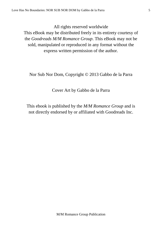All rights reserved worldwide

This eBook may be distributed freely in its entirety courtesy of the *Goodreads M/M Romance Group*. This eBook may not be sold, manipulated or reproduced in any format without the express written permission of the author.

Nor Sub Nor Dom, Copyright © 2013 Gabbo de la Parra

Cover Art by Gabbo de la Parra

This ebook is published by the *M/M Romance Group* and is not directly endorsed by or affiliated with Goodreads Inc.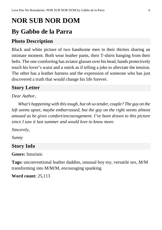# <span id="page-5-0"></span>**NOR SUB NOR DOM**

# **By Gabbo de la Parra**

## **Photo Description**

Black and white picture of two handsome men in their thirties sharing an intimate moment. Both wear leather pants, their T-shirts hanging from their belts. The one comforting has aviator glasses over his head, hands protectively touch his lover's waist and a smirk as if telling a joke to alleviate the tension. The other has a leather harness and the expression of someone who has just discovered a truth that would change his life forever.

## **Story Letter**

#### *Dear Author*,

*What's happening with thistough, but oh so tender, couple? The guy on the left seems upset, maybe embarrassed, but the guy on the right seems almost amused as he gives comfort/encouragement. I've been drawn to this picture since I saw it last summer and would love to know more.*

*Sincerely,*

*Sunny*

## **Story Info**

**Genre:** futuristic

**Tags:** unconventional leather daddies, unusual boy toy, versatile sex, M/M transforming into M/M/M, encouraging spanking

**Word count:** 25,113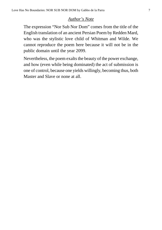#### *Author's Note*

<span id="page-6-0"></span>The expression "Nor Sub Nor Dom" comes from the title of the English translation of an ancient Persian Poem by Redden Mard, who was the stylistic love child of Whitman and Wilde. We cannot reproduce the poem here because it will not be in the public domain until the year 2099.

Nevertheless, the poem exalts the beauty of the power exchange, and how (even while being dominated) the act of submission is one of control, because one yields willingly, becoming thus, both Master and Slave or none at all.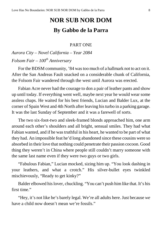# **NOR SUB NOR DOM By Gabbo de la Parra**

#### PART ONE

## <span id="page-7-0"></span>*Aurora City – Novel California – Year 2084 Folsom Fair – 100th Anniversary*

For the BDSM community, '84 wastoo much of a hallmark not to act on it. After the San Andreas Fault snacked on a considerable chunk of California, the Folsom Fair wandered through the west until Aurora was erected.

Fabian Acre never had the courage to don a pair of leather pants and show up until today. If everything went well, maybe next year he would wear some assless chaps. He waited for his best friends, Lucian and Balder Lux, at the corner of Spain West and 4th North after leaving histurbo in a parking garage. It was the last Sunday of September and it was a farewell of sorts.

The two six-foot-two and sleek-framed blonds approached him, one arm around each other's shoulders and all bright, sensual smiles. They had what Fabian wanted, and if he wastruthful in his heart, he wanted to be part of what they had. An impossible feat he'd long abandoned since these cousins were so absorbed in their love that nothing could penetrate their passion cocoon. Good thing they weren't in China where people still couldn't marry someone with the same last name even if they were two guys or two girls.

"Fabulous Fabian," Lucian mocked, sizing him up. "You look dashing in your leathers, and what a crotch." His silver-bullet eyes twinkled mischievously, "Ready to get kinky?"

Balder elbowed hislover, chuckling. "You can't push himlike that. It's his first time."

"Hey, it's not like he's barely legal. We're all adults here. Just because *we* have a child now doesn't mean we're fossils."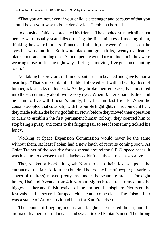"That you are not, even if your child is a teenager and because of that you should be on your way to bone density loss," Fabian chortled.

Jokes aside, Fabian appreciated hisfriends. They looked so much alike that people were usually scandalized during the first minutes of meeting them, thinking they were brothers. Tanned and athletic, they weren't just easy on the eyes but witty and fun. Both wore black and green kilts, twenty-eye leather black boots and nothing else. A lot of people would try to find out if they were wearing those outfits the right way. "Let's get moving. I've got some hunting to do."

Not taking the previous old-timers bait, Lucian beamed and gave Fabian a bear hug, "That's more like it." Balder followed suit with a healthy dose of lumberjack smacks on his back. As they broke their embrace, Fabian stared into those seemingly aloof, winter-sky eyes. When Balder's parents died and he came to live with Lucian's family, they became fast friends. When the cousins adopted that cute baby with the purple highlights in his abundant hair, they made Fabian the boy's godfather. Now, before they moved their operation to Mars to establish the first permanent human colony, they coerced him to stop being a pussy and come to the frigging fair to see if something tickled his fancy.

Working at Space Expansion Commission would never be the same without them. At least Fabian had a new batch of recruits coming soon. As Chief Trainer of the security forces spread around the S.E.C. space bases, it was his duty to oversee that his lackeys didn't eat those fresh asses alive.

They walked a block along 4th North to scan their ticket-chips at the entrance of the fair. At fourteen hundred hours, the line of people (in various stages of undress) moved pretty fast under the scanning arches. For eight hours, Thailand Avenue from 4th North to Sigma Street transformed into the biggest leather and fetish festival of the northern hemisphere. Not even the festivals held in several European cities could come close. The Folsom Fair was a staple of Aurora, as it had been for San Francisco.

The sounds of flogging, moans, and laughter permeated the air, and the aroma of leather, roasted meats, and sweat tickled Fabian's nose. The throng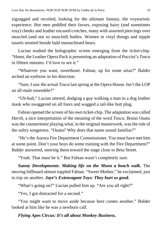zigzagged and recoiled, looking for the ultimate fantasy, the voyeuristic experience. Hot men peddled their favors, exposing hairy (and sometimes rosy) cheeks and leather encased crotches, many with assorted piercings over muscled (and not so muscled) bodies. Women in vinyl thongs and nipple tassels strutted beside bald mustachioed bears.

Lucian studied the holographic screen emerging from the ticket-chip. "Hmm, the Leather Opera Pack is presenting an adaptation of Puccini's *Tosca* in fifteen minutes. I'd love to see it."

"Whatever you want, sweetheart. Fabian, up for some arias?" Balder arched an eyebrow in his direction.

"Sure, I saw the actual *Tosca* last spring at the Opera House. Isn't the LOP an all-male ensemble?"

"Uh-huh," Lucian uttered, dodging a guy walking a man in a dog leather mask who swaggered on all fours and wagged a tail-like butt plug.

Fabian opened the screen of his own ticket-chip. The adaptation was called *Harsh*, a nice interpretation of the meaning of the word *Tosca*. Bruno Ouatu was the countertenor playing what, in the original masterwork, was the role of the sultry songstress. "Ouatu? Why does that name sound familiar?"

"He'sthe Aurora Fire Department Commissioner. You must have met him at some point. Don't your boys do some training with the Fire Department?" Balder answered, steering them toward the stage close to Beta Street.

"Yeah. That must be it." But Fabian wasn't completely sure.

*Sunny Developments: Making life on the Moon a beach walk.* The moving billboard almost toppled Fabian. "Sweet Mother," he exclaimed, just to trip on another. *Jaye's Extravagant Toys: They hurt so good.*

"What's going on?" Lucian pulled him up. "Are you all right?"

"Yes, I got distracted for a second."

"You might want to move aside because here comes another." Balder looked at him like he was a newborn calf.

*Flying Apes Circus: It's all about Monkey Business.*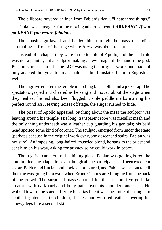The billboard hovered an inch from Fabian's flank. "I hate those things."

Fabian was a magnet for the moving advertisement. *LARKEANE. If you go KEANE you return fabulous.*

The cousins guffawed and hauled him through the mass of bodies assembling in front of the stage where *Harsh* was about to start.

Instead of a chapel, they were in the temple of Apollo, and the lead role was not a painter, but a sculptor making a new image of the handsome god. Puccini's music started―the LOP was using the original score, and had not only adapted the lyrics to an all-male cast but translated them to English as well.

The fugitive entered the temple in nothing but a collar and a jockstrap. The spectators gasped and cheered as he sang and moved about the stage when they realized he had also been flogged, visible paddle marks marring his perfect round ass. Hearing noises offstage, the singer rushed to hide.

The priest of Apollo appeared, bitching about the mess the sculptor was leaving around his temple. His long, transparent robe was metallic mesh and the only thing underneath was a leather cup guarding his genitals; his bald head sported some kind of coronet. The sculptor emerged fromunder the stage (perhaps because in the original work everyone descended stairs, Fabian was not sure). An imposing, long-haired, muscled blond, he sang to the priest and sent him on his way, asking for privacy so he could work in peace.

The fugitive came out of his hiding place. Fabian was getting bored; he couldn't feel the adaptation even though all the participants had been excellent so far. Balder and Lucian both looked enraptured, and Fabian was about to tell them he was going for a walk when Bruno Ouatu started singing fromthe back of the crowd. The surprised masses parted for this six-foot-five god-like creature with dark curls and body paint over his shoulders and back. He walked toward the stage, offering his arias like it was the smile of an angel to soothe frightened little children, shirtless and with red leather covering his sinewy legs like a second skin.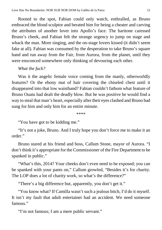Rooted to the spot, Fabian could only watch, enthralled, as Bruno embraced the blond sculptor and berated him for being a cheater and carving the attributes of another lover into Apollo's face. The baritone caressed Bruno's cheek, and Fabian felt the strange urgency to jump on stage and whack the man. More singing, and the on-stage lovers kissed (it didn't seem fake at all). Fabian was consumed by the desperation to take Bruno's square hand and run away from the Fair, from Aurora, from the planet, until they were ensconced somewhere only thinking of devouring each other.

#### *What the fuck?*

Was it the angelic female voice coming from the manly, otherworldly features? Or the ebony mat of hair covering the chiseled chest until it disappeared into that low waistband? Fabian couldn't fathom what feature of Bruno Ouatu had dealt the deadly blow. But he was positive he would find a way to steal that man's heart, especially after their eyes clashed and Bruno had sung for him and only him for an entire minute.

\*\*\*\*

"You have got to be kidding me."

"It's not a joke, Bruno. And I truly hope you don't force me to make it an order."

Bruno stared at his friend and boss, Callum Stone, mayor of Aurora. "I don't think it's appropriate for the Commissioner of the Fire Department to be spanked in public."

"What's this, 2014? Your cheeks don't even need to be exposed; you can be spanked with your pants on," Callum growled, "Besides it's for charity. The LOP does a lot of charity work, so what's the difference?"

"There's a big difference but, apparently, you don't get it."

"You know what? If Camilla wasn't such a jealous bitch, I'd do it myself. It isn't my fault that adult entertainer had an accident. We need someone famous."

"I'm not famous; I am a mere public servant."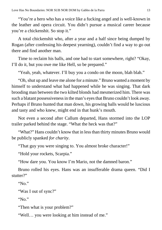"You're a hero who has a voice like a fucking angel and is well-known in the leather and opera circuit. You didn't pursue a musical career because you're a chickenshit. So stop it."

A total chickenshit who, after a year and a half since being dumped by Rogan (after confessing his deepest yearning), couldn't find a way to go out there and find another man.

Time to reclaim his balls, and one had to start somewhere, right? "Okay, I'll do it, but you owe me like Hell, so be prepared."

"Yeah, yeah, whatever. I'll buy you a condo on the moon, blah blah."

"Oh,shut up and leave me alone for a minute." Bruno wanted a moment by himself to understand what had happened while he was singing. That dark brooding man between the two kilted blonds had mesmerized him. There was such a blatant possessivenessin the man's eyesthat Bruno couldn't look away. Perhaps if Bruno hunted that man down, his growing balls would be luscious and tasty and who knew, might end in that hunk's mouth.

Not even a second after Callum departed, Hans stormed into the LOP trailer parked behind the stage. "What the heck was that?"

"What?" Hans couldn't know that in less than thirty minutes Bruno would be publicly spanked *for charity*.

"That guy you were singing to. You almost broke character!"

"Hold your rockets, Scarpia."

"How dare you. You know I'm Mario, not the damned baron."

Bruno rolled his eyes. Hans was an insufferable drama queen. "Did I stutter?"

"No."

"Was I out of sync?"

"No."

"Then what is your problem?"

"Well… you were looking at him instead of me."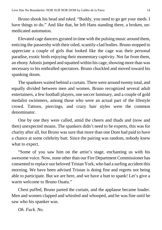Bruno shook his head and *tsked*. "Buddy, you need to go get your meds. I have things to do." And like that, he left Hans standing there, a broken, unmedicated automaton.

Elevated cage dancers gyrated in time with the pulsing music around them, enticing the passersby with their oiled, scantily-clad bodies. Bruno stopped to appreciate a couple of girls that looked like the cage was their personal paradise, exotic birds enjoying their momentary captivity. Not far from them, an ebony Adonis jumped and squatted within his cage, showing more than was necessary to his enthralled spectators. Bruno chuckled and moved toward his spanking doom.

The spankees waited behind a curtain. There were around twenty total, and equally divided between men and women. Bruno recognized several adult entertainers, a few football players, one soccer luminary, and a couple of gold medalist swimmers, among those who were an actual part of the lifestyle crowd. Tattoos, piercings, and crazy hair styles were the common denominator.

One by one they were called, amid the cheers and thuds and (now and then) unexpected moans. The spankers didn't need to be experts, this was for charity after all, but Bruno was sure that more than one Dom had paid to have a chance at some celebrity butt. Since the pairing was random, nobody knew what to expect.

"Some of you saw him on the artist's stage, enchanting us with his awesome voice. Now, none other than our Fire Department Commissioner has consented to replace our beloved Tristan York, who had a surfing accident this morning. We have been advised Tristan is doing fine and regrets not being able to participate. But we are here, and we have a butt to spank! Let's give a warm welcome to Bruno Ouatu."

Chest puffed, Bruno parted the curtain, and the applause became louder. Men and women clapped and whistled and whooped, and he was fine until he saw who his spanker was.

*Oh. Fuck. No.*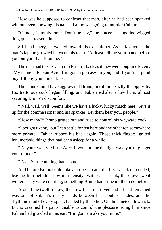How was he supposed to confront that man, after he had been spanked without even knowing his name? Bruno was going to murder Callum.

"C'mon, Commissioner. Don't be shy," the emcee, a tangerine-wigged drag queen, teased him.

Stiff and angry, he walked toward his executioner. As he lay across the man's lap, he growled between his teeth. "At least tell me your name before you put your hands on me."

The man had the nerve to rub Bruno's back as if they were longtime lovers. "My name is Fabian Acre. I'm gonna go easy on you, and if you're a good boy, I'll buy you dinner later."

The taunt should have aggravated Bruno, but it did exactly the opposite. His traitorous cock began filling, and Fabian exhaled a low hum, almost savoring Bruno's discomfort.

"Well, well, well. Seems like we have a lucky, lucky match here. Give it up for the commissioner and his spanker. Let them hear you, people."

"How many?" Bruno gritted out and tried to control his wayward cock.

"I bought twenty, but I can settle for ten here and the other ten somewhere more private." Fabian rubbed his back again. Those thick fingers ignited innumerable things that had been asleep for a while.

"Do your twenty, Mister Acre. If you hurt me the right way, you might get your dinner."

"Deal. Start counting, handsome."

And before Bruno could take a proper breath, the first whack descended, leaving him befuddled by its intensity. With each spank, the crowd went wilder. They were counting; something Bruno hadn't heard them do before.

Around the twelfth blow, the crowd had dissolved and all that remained was one of Fabian's meaty hands between his shoulder blades, and the rhythmic thud of every spank handed by the other. On the nineteenth whack, Bruno creamed his pants, unable to control the pleasure riding him since Fabian had growled in his ear, "I'm gonna make you mine."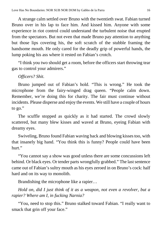A strange calm settled over Bruno with the twentieth swat. Fabian turned Bruno over in his lap to face him. And kissed him. Anyone with some experience in riot control could understand the turbulent noise that erupted from the spectators. But not even that made Bruno pay attention to anything but those lips covering his, the soft scratch of the stubble framing the handsome mouth. He only cared for the deadly grip of powerful hands, the lump poking his ass where it rested on Fabian's crotch.

"I think you two should get a room, before the officers start throwing tear gas to control your admirers."

*Officers? Shit.*

Bruno jumped out of Fabian's hold. "This is wrong." He took the microphone from the fairy-winged drag queen. "People calm down. Remember, we're doing this for charity. The fair must continue without incidents. Please disperse and enjoy the events. We still have a couple of hours to go."

The scuffle stopped as quickly as it had started. The crowd slowly scattered, but many blew kisses and waved at Bruno, eyeing Fabian with dreamy eyes.

Swiveling, Bruno found Fabian waving back and blowing kisses too, with that insanely big hand. "You think this is funny? People could have been hurt."

"You cannot say a show was good unless there are some concussions left behind. Or black eyes. Or tender parts wrongfully grabbed." The last sentence came out of Fabian's sultry mouth as his eyes zeroed in on Bruno's cock: half hard and on its way to monolith.

Brandishing the microphone like a rapier…

*Hold on, did I just think of it as a weapon, not even a revolver, but a rapier? Where am I, in fucking Narnia?*

"You, need to stop this." Bruno stalked toward Fabian. "I really want to smack that grin off your face."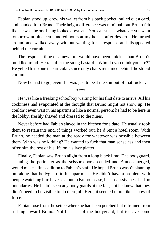Fabian stood up, drew his wallet from his back pocket, pulled out a card, and handed it to Bruno. Their height difference was minimal, but Bruno felt like he was the one being looked down at, "You can smack whatever you want tomorrow at nineteen hundred hours at my house, after dessert." He turned around and walked away without waiting for a response and disappeared behind the curtain.

The response-time of a newborn would have been quicker than Bruno's muddled mind. He ran after the smug bastard. "Who do you think you are?" He yelled to no one in particular, since only chairs remained behind the stupid curtain.

Now he had to go, even if it was just to beat the shit out of that fucker.

\*\*\*\*

He was like a freaking schoolboy waiting for his first date to arrive. All his cockiness had evaporated at the thought that Bruno might not show up. He couldn't even wait in his apartment like a normal person; he had to be here in the lobby, freshly shaved and dressed to the nines.

Never before had Fabian slaved in the kitchen for a date. He usually took them to restaurants and, if things worked out, he'd rent a hotel room. With Bruno, he needed the man at the ready for whatever was possible between them. Who was he kidding? He wanted to fuck that man senseless and then offer him the rest of his life on a silver platter.

Finally, Fabian saw Bruno alight from a long black limo. The bodyguard, scanning the perimeter as the scissor door ascended and Bruno emerged, would make a fine addition to Fabian's staff. He hoped Bruno wasn't planning on taking that bodyguard to his apartment. He didn't have a problem with people watching him have sex, but in Bruno's case, his possessiveness had no boundaries. He hadn't seen any bodyguards at the fair, but he knew that they didn't need to be visible to do their job. Here, it seemed more like a show of force.

Fabian rose from the settee where he had been perched but refrained from rushing toward Bruno. Not because of the bodyguard, but to save some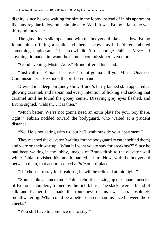dignity, since he was waiting for him in the lobby instead of in his apartment like any regular fellow on a simple date. Well, it was Bruno's fault, he was thirty minutes late.

The glass doors slid open, and with the bodyguard like a shadow, Bruno found him, offering a smile and then a scowl, as if he'd remembered something unpleasant. That scowl didn't discourage Fabian. *Never.* If anything, it made him want the damned commissioner even more.

"Good evening, Mister Acre." Bruno offered his hand.

"Just call me Fabian, because I'm not gonna call you Mister Ouatu or Commissioner." He shook the proffered hand.

Dressed in a deep burgundy shirt, Bruno's fairly tanned skin appeared as glowing caramel, and Fabian had every intention of licking and sucking that caramel until he found the gooey center. Dizzying grey eyes flashed, and Bruno sighed, "Fabian… it is then."

"Much better. We're not gonna need an extra plate for your boy there, right?" Fabian nodded toward the bodyguard, who waited at a prudent distance.

"No. He's not eating with us, but he'll wait outside your apartment."

They reached the elevator (waiting for the bodyguard to enter behind them) and were on their way up. "What if I want you to stay for breakfast?" Since he had been waiting in the lobby, images of Bruno flush to the elevator wall while Fabian ravished his mouth, barked at him. Now, with the bodyguard between them, that action seemed a *little* out of place.

"If *I* choose to stay for breakfast, he will be relieved at midnight."

"Sounds like a plan to me." Fabian chortled, sizing up the square muscles of Bruno's shoulders, framed by the rich fabric. The slacks were a blend of silk and leather that made the roundness of his sweet ass absolutely mouthwatering. What could be a better dessert than his face between those cheeks?

"You still have to convince me to stay."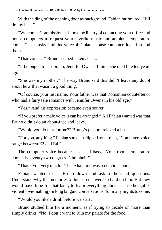With the ding of the opening door as background, Fabian murmured, "I'll do my best."

"Welcome, Commissioner. I took the liberty of contacting your office and house computers to request your favorite music and ambient temperature choice." The husky feminine voice of Fabian's house computer floated around them.

"That voice…" Bruno seemed taken aback.

"It belonged to a soprano, Jennifer Owens. I think she died like ten years ago."

"She was my mother." The way Bruno said this didn't leave any doubt about how that wasn't a good thing.

"Of course, your last name. Your father was that Romanian countertenor who had a fairy tale romance with Jennifer Owens in his old age."

"Yes." And his expression became even sourer.

"If you prefer a male voice it can be arranged." All Fabian wanted wasthat Bruno didn't do an about-face and leave.

"Would you do that for me?" Bruno's posture relaxed a bit.

"For you, anything." Fabian spoke in clipped tones then, "Computer, voice" range between E2 and E4."

The computer voice became a sensual bass, "Your room temperature choice is seventy-two degrees Fahrenheit."

"Thank you very much." The exhalation was a delicious purr.

Fabian wanted to sit Bruno down and ask a thousand questions. Understand why the memories of his parents were so hard on him. But they would have time for that later; to learn everything about each other (after violent love-making) in long languid conversations, for many nights to come.

"Would you like a drink before we start?"

Bruno studied him for a moment, as if trying to decide on more than simply drinks. "No. I don't want to ruin my palate for the food."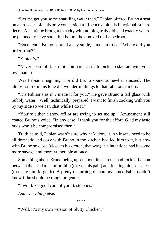"Let me get you some sparkling water then." Fabian offered Bruno a seat on a brocade sofa, his only concession to Rococo amid his functional, square décor. An antique brought to a city with nothing truly old, and exactly where he planned to have some fun before they moved to the bedroom.

"Excellent." Bruno sported a shy smile, almost a truce. "Where did you order from?"

"Fabian's."

"Never heard of it. Isn't it a bit narcissistic to pick a restaurant with your own name?"

Was Fabian imagining it or did Bruno sound somewhat amused? The almost-smirk in his tone did wonderful things to that fabulous timbre.

"It's Fabian's as in *I* made it for you." He gave Bruno a tall glass with bubbly water. "Well, technically, prepared. I want to finish cooking with you by my side so we can chat while I do it."

"You're either a show off or are trying to set me up." Amusement still coated Bruno's voice. "In any case, I thank you for the effort. Glad my taste buds won't be compromised then."

Truth be told, Fabian wasn't sure why he'd done it. An insane need to be all domestic and cozy with Bruno in the kitchen had led him to it, but now with Bruno so close (close to his crotch, that was), his intentions had become more savage and more vulnerable at once.

Something about Bruno being upset about his parents had rocked Fabian between the need to comfort him (to ease his pain) and fucking him senseless (to make him forget it). A pretty disturbing dichotomy, since Fabian didn't know if he should be rough or gentle.

"I will take good care of your taste buds."

*And everything else.*

\*\*\*\*

"Well, it's my own version of Slutty Chicken."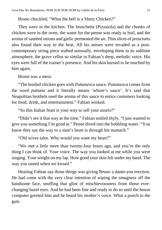Bruno chuckled, "What the hell is a Slutty Chicken?"

They were in the kitchen. The bruschetta (Pizzaiola) and the chunks of chicken were in the oven, the water for the penne was ready to boil, and the aroma ofsautéed onions and garlic permeated the air. Thin slices of prosciutto also found their way to the heat. All his senses were invaded as a postcontemporary string piece wafted sensually, enveloping them in its sublime atmosphere, the grave cellos so similar to Fabian's deep, melodic voice. His eyes were full of the trainer's presence. And his skin burned to be touched by him again.

Bruno was a mess.

"The broiled chicken goes with *Puttanesca* sauce. *Puttanesca* comes from the word *puttana* and it literally means 'whore's sauce'. It's said that Neapolitan brothels used the aroma of this sauce to entice customers looking for food, drink, and entertainment." Fabian winked.

"So this Italian feast is your way to sell your *assets*?"

"Didn't see it that way at the time." Fabian smiled shyly. "I just wanted to give you something I'm good at." Penne dived into the bubbling water. "You know they say the way to a man's heart is through his stomach."

"Old wives tales. Why would you want my heart?"

"We met a little more than twenty-four hours ago, and you're the only thing I can think of. Your voice. The way you looked at me while you were singing. Your weight on my lap. How good yourskin felt under my hand. The way you tasted when we kissed."

Hearing Fabian say those things was giving Bruno a damn-you erection. He had come with the very clear intention of wiping the smugness off the handsome face, snuffing that glint of mischievousness from those everchanging hazel eyes. And he had been fine and ready to do so until the house computer greeted him and he heard his mother's voice. What a punch to the guts.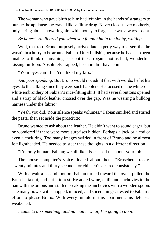The woman who gave birth to him had left him in the hands of strangers to pursue the applause she craved like a filthy drug. Never close, never motherly, only caring about showering him with money to forget she was always absent.

#### *Be honest. He floored you when you found him in the lobby, waiting.*

Well, that too. Bruno purposely arrived late; a petty way to assert that he wasn't in a hurry to be around Fabian. Utter bullshit, because he had also been unable to think of anything else but the arrogant, hot-as-hell, wonderfulkissing buffoon. Absolutely trapped, he shouldn't have come.

"Your eyes can't lie. You liked my kiss."

*And your spanking.* But Bruno would not admit that with words; he let his eyes do the talking since they were such babblers. He focused on the white-onwhite embroidery of Fabian's nice-fitting shirt. It had several buttons opened and a strap of black leather crossed over the gap. Was he wearing a bulldog harness under the fabric?

"Yeah, you did. Your silence speaks volumes." Fabian smirked and stirred the pasta, then set aside the prosciutto.

Bruno wanted to ask about the leather. He didn't want to sound eager, but he wondered if there were more surprises hidden. Perhaps a jock or a cod or even a cock ring. Too many images swirled in front of Bruno and he almost felt lightheaded. He needed to steer these thoughts in a different direction.

"I'm only human, Fabian; we all like kisses. Tell me about your job."

The house computer's voice floated about them. "Bruschetta ready. Twenty minutes and thirty seconds for chicken's desired consistency."

With a wait-a-second motion, Fabian turned toward the oven, pulled the Bruschetta out, and put it to rest. He added wine, chili, and anchovies to the pan with the onions and started breaking the anchovies with a wooden spoon. The many bowls with chopped, minced, and sliced things attested to Fabian's effort to please Bruno. With every minute in this apartment, his defenses weakened.

*I came to do something, and no matter what, I'm going to do it.*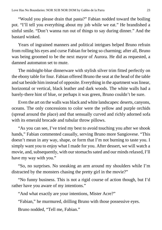"Would you please drain that pasta?" Fabian nodded toward the boiling pot. "I'll tell you everything about my job while we eat." He brandished a sinful smile. "Don't wanna run out of things to say during dinner." And the bastard winked.

Years of ingrained manners and political intrigues helped Bruno refrain from rolling his eyes and curse Fabian for being so charming; after all, Bruno was being groomed to be the next mayor of Aurora. He did as requested, a damned automaton set to mute.

The midnight-blue dinnerware with stylish silver trim fitted perfectly on the ebony table for four. Fabian offered Bruno the seat at the head of the table and sat beside him instead of opposite. Everything in the apartment was linear, horizontal or vertical, black leather and dark woods. The white walls had a barely-there hint of blue, or perhaps it was green, Bruno couldn't be sure.

Even the art on the walls was black and white landscapes: deserts, canyons, oceans. The only concessions to color were the yellow and purple orchids (spread around the place) and that sensually curved and richly adorned sofa with its emerald brocade and tubular throw pillows.

"As you can see, I've tried my best to avoid touching you after we shook hands," Fabian commented casually, serving Bruno more Sangiovese. "This doesn't mean in any way, shape, or form that I'm not burning to taste you. I simply want you to enjoy what I made for you. After dessert, we will watch a movie, and, subsequently, with our stomachs sated and our minds relaxed, I'll have my way with you."

"So, no surprises. No sneaking an arm around my shoulders while I'm distracted by the monsters chasing the pretty girl in the movie?"

"No funny business. This is not a rigid course of action though, but I'd rather have you aware of my intentions."

"And what exactly are your intentions, Mister Acre?"

"Fabian," he murmured, drilling Bruno with those possessive eyes.

Bruno nodded, "Tell me, Fabian."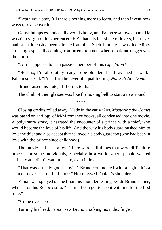"Learn your body 'til there's nothing more to learn, and then invent new ways to rediscover it."

Goose bumps exploded all over his body, and Bruno swallowed hard. He wasn't a virgin or inexperienced. He'd had his fair share of lovers, but never had such intensity been directed at him. Such bluntness was incredibly arousing, especially coming froman environment where cloak and dagger was the norm.

"Am I supposed to be a passive member of this *expedition*?"

"Hell no, I'm absolutely ready to be plundered and ravished as well." Fabian smirked. "I'm a firm believer of equal footing. *Nor Sub Nor Dom*."

Bruno raised his flute, "I'll drink to that."

The clink of their glasses was like the boxing bell to start a new round.

\*\*\*\*

Closing credits rolled away. Made in the early '20s, *Mastering the Comet* was based on a trilogy of M/M romance books, all condensed into one movie. A polyamory story, it narrated the encounter of a prince with a thief, who would become the love of his life. And the way his bodyguard pushed him to love the thief and also accept that he loved his bodyguard too (who had been in love with the prince since childhood).

The movie had been a test. There were still things that were difficult to process for some individuals, especially in a world where people wanted selfishly and didn't want to share, even in love.

"That was a really good movie," Bruno commented with a sigh. "It's a shame I never heard of it before." He squeezed Fabian's shoulder.

Fabian was splayed on the floor, his shoulder resting beside Bruno's knee, who sat on his Rococo sofa. "I'm glad you got to see it with me for the first time."

"Come over here."

Turning his head, Fabian saw Bruno crooking his index finger.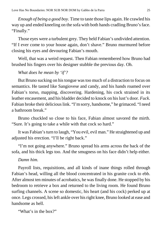*Enough of being a good boy.* Time to taste those lips again. He crawled his way up and ended kneeling on the sofa with both hands cradling Bruno's face. "Finally."

Those eyes were a turbulent grey. They held Fabian's undivided attention. "If I ever come to your house again, don't shave." Bruno murmured before closing his eyes and devouring Fabian's mouth.

Well, that was a weird request. Then Fabian remembered how Bruno had brushed his fingers over his designer stubble the previous day. Oh.

#### *What does he mean by 'if'?*

But Bruno sucking on histongue wastoo much of a distraction to focus on semantics. He tasted like Sangiovese and candy, and his hands roamed over Fabian's torso, mapping, discovering. Hardening, his cock strained in its leather encasement, and his bladder decided to knock on hislust's door. *Fuck*. Fabian broke their delicious link. "I'm sorry, handsome," he grimaced. "I need a bathroom break."

Bruno chuckled so close to his face, Fabian almost savored the mirth. "Sure. It's going to take a while with that cock so hard."

It was Fabian's turn to laugh, "You evil, evil man." He straightened up and adjusted his erection. "I'll be right back."

"I'm not going anywhere." Bruno spread his arms across the back of the sofa, and his thick legs too. And the smugness on his face didn't help either.

#### *Damn him.*

Payroll lists, requisitions, and all kinds of inane things rolled through Fabian's head, willing all the blood concentrated in his granite cock to ebb. After almost ten minutes of acrobatics, he was finally done. He stopped by his bedroom to retrieve a box and returned to the living room. He found Bruno surfing channels. A scene so domestic, his heart (and his cock) perked up at once. Legs crossed, hisleft ankle over hisright knee, Bruno looked at ease and handsome as hell.

"What's in the box?"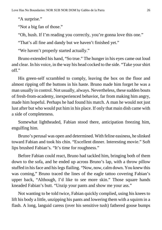"A surprise."

"Not a big fan of those."

"Oh, hush. If I'm reading you correctly, you're gonna love this one."

"That's all fine and dandy but we haven't finished yet."

"We haven't properly started actually."

Bruno extended his hand, "So true." The hunger in his eyes came out loud and clear. In his voice, in the way his head cocked to the side. "Take yourshirt off."

His green-self scrambled to comply, leaving the box on the floor and almost ripping off the buttons in his haste. Bruno made him forget he was a man usually in control. Not usually, always. Nevertheless, these sudden bouts of fresh-from-academy, inexperienced behavior, far from making him angry, made him hopeful. Perhaps he had found his match. A man he would not just lust after but who would put him in his place. If only that main dish came with a side of completeness.

Somewhat lightheaded, Fabian stood there, anticipation freezing him, engulfing him.

Bruno's perusal was open and determined. With feline easiness, he slinked toward Fabian and took his chin. "Excellent dinner. Interesting movie." Soft lips brushed Fabian's. "It's time for roughness."

Before Fabian could react, Bruno had tackled him, bringing both of them down to the sofa, and he ended up across Bruno's lap, with a throw pillow stuffed in his face and his legs flailing. "Now, now, calm down. You knew this was coming," Bruno traced the lines of the eagle tattoo covering Fabian's upper back, "Although, I'd like to see more skin." Those square hands kneaded Fabian's butt. "Unzip your pants and show me your ass."

Not wanting to be told twice, Fabian quickly complied, using his knees to lift his body a little, unzipping his pants and lowering them with a squirm in a flash. A long, languid caress (over his sensitive tush) fathered goose bumps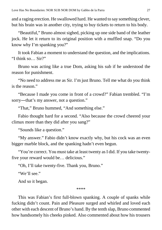and a raging erection. He swallowed hard. He wanted to say something clever, but his brain was in another city, trying to buy tickets to return to his body.

"Beautiful," Bruno almost sighed, picking up one side band of the leather jock. He let it return to its original position with a muffled snap. "Do you know why I'm spanking you?"

It took Fabian a moment to understand the question, and the implications. "I think so… Sir?"

Bruno was acting like a true Dom, asking his sub if he understood the reason for punishment.

"No need to address me as Sir. I'm just Bruno. Tell me what do you think is the reason."

"Because I made you come in front of a crowd?" Fabian trembled. "I'm sorry—that's my answer, not a question."

"That," Bruno hummed, "And something else."

Fabio thought hard for a second. "Also because the crowd cheered your climax more than they did after you sang?"

"Sounds like a question."

"My answer." Fabio didn't know exactly why, but his cock was an even bigger marble block, and the spanking hadn't even begun.

"You're correct. You must take at least twenty as I did. If you take twentyfive your reward would be… delicious."

"Oh, I'll take twenty-five. Thank you, Bruno."

"We'll see."

And so it began.

\*\*\*\*

This was Fabian's first full-blown spanking. A couple of spanks while fucking didn't count. Pain and Pleasure surged and whirled and loved each other with each descent of Bruno's hand. By the tenth slap, Bruno commented how handsomely his cheeks pinked. Also commented about how his trousers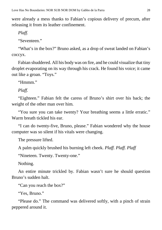were already a mess thanks to Fabian's copious delivery of precum, after releasing it from its leather confinement.

*Plaff.*

"Seventeen."

"What's in the box?" Bruno asked, as a drop of sweat landed on Fabian's coccyx.

Fabian shuddered. All his body was on fire, and he could visualize that tiny droplet evaporating on its way through his crack. He found his voice; it came out like a groan. "Toys."

"Hmmm."

*Plaff.*

"Eighteen." Fabian felt the caress of Bruno's shirt over his back; the weight of the other man over him.

"You sure you can take twenty? Your breathing seems a little erratic." Warm breath tickled his ear.

"I can do twenty-five, Bruno, please." Fabian wondered why the house computer was so silent if his vitals were changing.

The pressure lifted.

A palm quickly brushed his burning left cheek. *Plaff. Plaff. Plaff*

"Nineteen. Twenty. Twenty-one."

Nothing.

An entire minute trickled by. Fabian wasn't sure he should question Bruno's sudden halt.

"Can you reach the box?"

"Yes, Bruno."

"Please do." The command was delivered softly, with a pinch of strain peppered around it.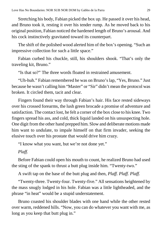Stretching his body, Fabian picked the box up. He passed it over his head, and Bruno took it, resting it over his tender rump. As he moved back to his original position, Fabian noticed the hardened length of Bruno's arousal. And his cock instinctively gravitated toward its counterpart.

The shift of the polished wood alerted him of the box's opening. "Such an impressive collection for such a little space."

Fabian curbed his chuckle, still, his shoulders shook. "That's only the traveling kit, Bruno."

"Is that so?" The three words floated in restrained amusement.

"Uh-huh." Fabian remembered he was on Bruno'slap, "Yes, Bruno." Just because he wasn't calling him "Master" or "Sir" didn't mean the protocol was broken. It circled them, tacit and clear.

Fingers found their way through Fabian's hair. His face rested sideways over his crossed forearms, the lush green brocade a promise of adventure and satisfaction. The contact lost, he felt a corner of the box close to his knee. Two fingers spread his ass, and cold, thick liquid landed on his unsuspecting hole. One digit from the other hand prepped him. Slow and deliberate motions made him want to undulate, to impale himself on that firm invader, seeking the elusive touch over his prostate that would drive him crazy.

"I know what you want, but we're not done yet."

#### *Plaff.*

Before Fabian could open his mouth to count, he realized Bruno had used the sting of the spank to thrust a butt plug inside him. "Twenty-two."

A swift tap on the base of the butt plug and then, *Plaff. Plaff. Plaff.*

"Twenty-three. Twenty-four. Twenty-five." All sensations heightened by the mass snugly lodged in his hole. Fabian was a little lightheaded, and the phrase "in heat" would be a stupid understatement.

Bruno coasted his shoulder blades with one hand while the other rested over warm, reddened hills. "Now, you can do whatever you want with me, as long as you keep that butt plug in."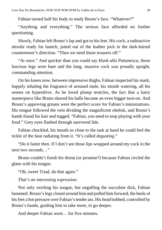Fabian turned half his body to study Bruno's face. "Whatever?"

"Anything and everything." The serious face afforded no further questioning.

Slowly, Fabian left Bruno's lap and got to his feet. His cock, a radioactive missile ready for launch, jutted out of the leather jock in the dark-haired countertenor's direction. "Then we need those trousers off."

"At once." And quicker than you could say *Hunk alla Puttanesca*, those luscious legs were bare and the long, massive cock was proudly upright, commanding attention.

On his knees now, between impressive thighs, Fabian inspected his mark, happily inhaling the fragrance of aroused male, his mouth watering, all his senses on hyperdrive. As he laved plump testicles, the fact that a hairy masterpiece like Bruno shaved his balls became an even bigger turn-on. And Bruno's approving groans were the perfect score for Fabian's ministrations. His tongue followed the vein dividing the magnificent obelisk, and Bruno's hands found his hair and tugged. "Fabian, you need to stop playing with your food." Grey eyes flashed through narrowed lids.

Fabian chuckled, his mouth so close to the task at hand he could feel the tickle of the heat radiating from it. "It's called *degusting*."

"Do it faster then. If I don't see those lips wrapped around my cock in the next two seconds…"

Bruno couldn't finish his threat (or promise?) because Fabian circled the glans with his tongue.

"Oh, sweet Triad, do that again."

#### *That's an interesting expression.*

Not only swirling his tongue, but engulfing the succulent dick, Fabian hummed. Bruno's legs closed around him and pulled him forward, the heels of his feet a hot pressure over Fabian's tender ass. His head bobbed, controlled by Bruno's hands, guiding him to take more, to go deeper.

And deeper Fabian went… for five minutes.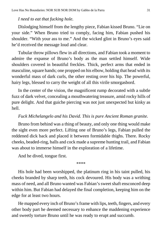#### *I need to eat that fucking hole.*

Dislodging himself from the lengthy piece, Fabian kissed Bruno. "Lie on your side." When Bruno tried to comply, facing him, Fabian pushed his shoulder. "With your ass to me." And the wicked glint in Bruno's eyes said he'd received the message loud and clear.

Tubular throw pillows flew in all directions, and Fabian took a moment to admire the expanse of Bruno's body as the man settled himself. Wide shoulders covered in beautiful freckles. Thick, perfect arms that ended in masculine, square hands; one propped on his elbow, holding that head with its wonderful mass of dark curls, the other resting over his hip. The powerful, hairy legs, blessed to carry the weight of all this virile smorgasbord.

In the center of the vision, the magnificent rump decorated with a subtle fuzz of dark velvet, concealing a mouthwatering treasure, amid rocky hills of pure delight. And that guiche piercing was not just unexpected but kinky as hell.

#### *Fuck Michelangelo and his David. This is pure Ancient Roman granite.*

Bruno from behind was a thing of beauty, and only one thing would make the sight even more perfect. Lifting one of Bruno's legs, Fabian pulled the reddened dick back and placed it between formidable thighs. There. Rocky cheeks, beaded-ring, balls and cock made a supreme hunting trail, and Fabian was about to immerse himself in the exploration of a lifetime.

And he dived, tongue first.

\*\*\*\*

His hole had been worshipped, the platinum ring in his taint pulled, his cheeks branded by sharp teeth, his cock devoured. His body was a writhing mass of need, and all Bruno wanted was Fabian's sweet shaft ensconced deep within him. But Fabian had delayed the final completion, keeping him on the edge for at least two hours.

He mapped every inch of Bruno's frame with lips, teeth, fingers, and every other body part he deemed necessary to enhance the maddening experience and sweetly torture Bruno until he was ready to erupt and succumb.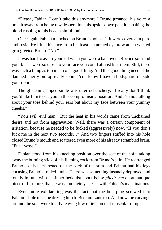"Please, Fabian. I can't take this anymore." Bruno groaned, his voice a breath away from being raw desperation, his upside down position making the blood rushing to his head a sinful tonic.

Once again Fabian munched on Bruno's hole as if it were covered in pure ambrosia. He lifted his face from his feast, an arched eyebrow and a wicked grin greeted Bruno. "No."

It was hard to assert yourself when you were a ball over a Rococo sofa and your knees were so close to your face you could almost kiss them. Still, there was such a thing as too much of a good thing. And this good thing needed the damned cherry on top really soon. "You know I have a bodyguard outside your door."

The glistening-lipped smile was utter debauchery. "I really don't think you'd like him to see you in this compromising position. And I'm not talking about your toes behind your ears but about my face between your yummy cheeks."

"You evil, evil man." But the heat in his words came from unchained desire and not from aggravation. Well, there was a certain component of irritation, because he needed to be fucked (aggressively) now. "If you don't fuck me in the next two seconds…" And two fingers stuffed into his hole closed Bruno's mouth and scattered even more of his already scrambled brain. "Fuck yesss."

Fabian stood from his kneeling position over the seat of the sofa, taking away the burning stick of his flaming cock from Bruno's skin. He rearranged Bruno so his back rested on the back of the sofa and Fabian had his legs encasing Bruno's folded limbs. There was something insanely depraved and totally in tune with his inner hedonist about being *piledriven* on an antique piece of furniture, that he was completely at ease with Fabian's machinations.

Even more exhilarating was the fact that the butt plug screwed into Fabian's hole must be driving him to Bedlam Lane too. And now the carvings around the sofa were totally leaving low reliefs on that muscular rump.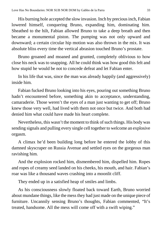His burning hole accepted the slow invasion. Inch by precious inch, Fabian lowered himself, conquering Bruno, expanding him, dominating him. Sheathed to the hilt, Fabian allowed Bruno to take a deep breath and then became a monumental piston. The pumping was not only upward and downward; a certain circular hip motion was also thrown in the mix. It was absolute bliss every time the vertical abrasion touched Bruno's prostate.

Bruno groaned and moaned and grunted, completely oblivious to how close his neck was to snapping. All he could think was how good this felt and how stupid he would be not to concede defeat and let Fabian enter.

In his life that was, since the man was already happily (and aggressively) inside him.

Fabian fucked Bruno looking into his eyes, pouring out something Bruno hadn't encountered before, something akin to acceptance, understanding, camaraderie. Those weren't the eyes of a man just wanting to get off; Bruno knew those very well, had lived with them not once but twice. And both had denied him what could have made his heart complete.

Nevertheless, this wasn't the moment to think of such things. His body was sending signals and pulling every single cell together to welcome an explosive orgasm.

A climax he'd been building long before he entered the lobby of this damned skyscraper on Russia Avenue and settled eyes on the gorgeous man ravishing him.

And the explosion rocked him, dismembered him, dispelled him. Ropes and ropes of creamy seed landed on his cheeks, his mouth, and hair. Fabian's roar was like a thousand waves crashing into a moonlit cliff.

They ended up in a satisfied heap of smiles and limbs.

As his consciousness slowly floated back toward Earth, Bruno worried about mundane things, like the mess they had just made on the unique piece of furniture. Uncannily sensing Bruno's thoughts, Fabian commented, "It's treated, handsome. All the mess will come off with a swift wiping."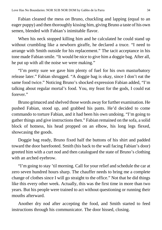Fabian cleaned the mess *on* Bruno, chuckling and lapping (equal to an eager puppy) and then thoroughly kissing him, giving Bruno a taste of his own semen, blended with Fabian's inimitable flavor.

When his neck stopped killing him and he calculated he could stand up without crumbling like a newborn giraffe, he declared a truce. "I need to arrange with Smith outside for his replacement." The tacit acceptance in his tone made Fabian smile. "It would be nice to give him a doggie bag. After all, he put up with all the noise we were making."

"I'm pretty sure we gave him plenty of fuel for his own masturbatory release later." Fabian shrugged. "A doggie bag is okay, since I don't eat the same food twice." Noticing Bruno's shocked expression Fabian added, "I'm talking about regular mortal's food. You, my feast for the gods, I could eat forever."

Bruno grimaced and shelved those words away for further examination. He pushed Fabian, stood up, and grabbed his pants. He'd decided to come commando to torture Fabian, and it had been his own undoing. "I'm going to gather things and give instructionsthen." Fabian remained on the sofa, a solid block of hotness, his head propped on an elbow, his long legs flexed, showcasing the goods.

Doggie bag ready, Bruno fixed half the buttons of his shirt and padded toward the door barefooted. Smith (his back to the wall facing Fabian's door) greeted him with a curt nod and then catalogued the state of Bruno's clothing with an arched eyebrow.

"I'm going to stay 'til morning. Call for your relief and schedule the car at zero seven hundred hours sharp. The chauffer needs to bring me a complete change of clothes since I will go straight to the office." Not that he did things like this every other week. Actually, this was the first time in more than two years. But his people were trained to act without questioning or running their mouths afterward.

Another dry nod after accepting the food, and Smith started to feed instructions through his communicator. The door hissed, closing.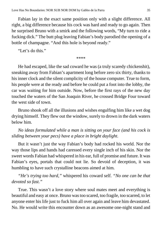Fabian lay in the exact same position only with a slight difference. All right, a big difference because his cock was hard and ready to go again. Then he surprised Bruno with a smirk and the following words, "My turn to ride a fucking dick." The butt plug leaving Fabian's body parodied the opening of a bottle of champagne. "And this hole is beyond ready."

"Let's do this"

\*\*\*\*

He had escaped, like the sad coward he was (a truly scaredy chickenshit), sneaking away from Fabian's apartment long before zero six thirty, thanks to his inner clock and the silent complicity of the house computer. True to form, his people were at the ready and before he could put a foot into the lobby, the car was waiting for him outside. Now, before the first rays of the new day touched the waters of the San Joaquin River, he crossed Bridge Four toward the west side of town.

Bruno shook off all the illusions and wishes engulfing him like a wet dog drying himself. They flew out the window, surely to drown in the dark waters below him.

*No ideas formulated while a man is sitting on your face (and his cock is sliding between your pecs) have a place in bright daylight.*

But it wasn't just the way Fabian's body had rocked his world. Nor the way those lips and hands had caressed every single inch of his skin. Nor the sweet words Fabian had whispered in his ear, full of promise and future. It was Fabian's eyes, portals that could not lie. So devoid of deception, it was humbling to have such crystalline beacons aimed at him.

*"He's trying too hard,"* whispered his coward self. *"No one can be that devoted so fast."*

True. This wasn't a love story where soul mates meet and everything is beautiful and easy at once. Bruno wastoo scared, too fragile, too scarred, to let anyone enter his life just to fuck him all over again and leave him devastated. No. He would write this encounter down as an awesome one-night stand and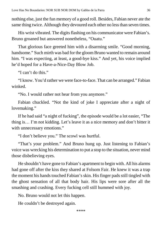nothing else, just the fun memory of a good roll. Besides, Fabian never ate the same thing twice. Although they devoured each other no less than seven times.

His wrist vibrated. The digits flashing on his communicator were Fabian's. Bruno groaned but answered nonetheless, "Ouatu."

That glorious face greeted him with a disarming smile. "Good morning, handsome." Such mirth was bad for the gloom Bruno wanted to remain around him. "I was expecting, at least, a good-bye kiss." And yet, his voice implied he'd hoped for a Have-a-Nice-Day Blow Job.

"I can't do this."

"I know. You'd rather we were face-to-face. That can be arranged." Fabian winked.

"No. I would rather not hear from you anymore."

Fabian chuckled. "Not the kind of joke I appreciate after a night of lovemaking."

If he had said "a night of fucking", the episode would be a lot easier, "The thing is… I'm not kidding. Let's leave it as a nice memory and don't bitter it with unnecessary emotions."

"I don't believe you." The scowl was hurtful.

"That's your problem." And Bruno hung up. Just listening to Fabian's voice was wrecking his determination to put a stop to the situation, never mind those disbelieving eyes.

He shouldn't have gone to Fabian's apartment to begin with. All his alarms had gone off after the kiss they shared at Folsom Fair. He knew it was a trap the moment his hands touched Fabian's skin. His finger pads still tingled with the ghost sensation of all that body hair. His lips were sore after all the smashing and crashing. Every fucking cell still hummed with joy.

No. Bruno would not let this happen.

He couldn't be destroyed again.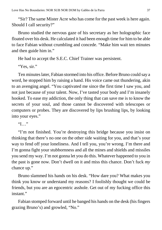"Sir? The same Mister Acre who has come for the past week is here again. Should I call security?"

Bruno studied the nervous gaze of his secretary as her holographic face floated over his desk. He calculated it had been enough time for him to be able to face Fabian without crumbling and concede. "Make him wait ten minutes and then guide him in."

He had to accept the S.E.C. Chief Trainer was persistent.

"Yes, sir."

Ten minutes later, Fabian stormed into his office. Before Bruno could say a word, he stopped him by raising a hand. His voice came out thundering, akin to an avenging angel. "You captivated me since the first time I saw you, and not just because of your talent. Now, I've tasted your body and I'm insanely hooked. To ease my addiction, the only thing that can save me is to know the secrets of your soul, and those cannot be discovered with telescopes or computers or probes. They are discovered by lips brushing lips, by looking into your eyes."

"I…"

"I'm not finished. You're destroying this bridge because you insist on thinking that there's no one on the other side waiting for you, and that's your way to fend off your loneliness. And I tell you, you're wrong. I'm there and I'm gonna fight your stubbornness and all the mines and shields and missiles you send my way. I'm not gonna let you do this. Whatever happened to you in the past is gone now. Don't dwell on it and miss this chance. Don't fuck *my* chance up."

Bruno slammed his hands on his desk. "How dare you? What makes you think you know or understand my reasons? I foolishly thought we could be friends, but you are an egocentric asshole. Get out of my fucking office this instant"

Fabian stomped forward until he banged his hands on the desk (his fingers grazing Bruno's) and growled, "No."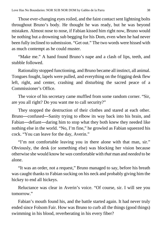Those ever-changing eyes roiled, and the faint contact sent lightning bolts throughout Bruno's body. He thought he was ready, but he was beyond mistaken. Almost nose to nose, if Fabian kissed him right now, Bruno would be nothing but a drowning sub begging for his Dom, even when he had never been fully inclined to submission. "Get out." The two words were hissed with as much contempt as he could muster.

"Make me." A hand found Bruno's nape and a clash of lips, teeth, and stubble followed.

Rationality stopped functioning, and Bruno became all instinct, all animal. Tongues fought, lapels were pulled, and everything on the frigging desk flew left, right, and center, crashing and disturbing the sacred peace of a Commissioner's Office.

The voice of his secretary came muffled from some random corner. "Sir, are you all right? Do you want me to call security?"

They stopped the destruction of their clothes and stared at each other. Bruno―confused―Sanity trying to elbow its way back into his brain, and Fabian―defiant―daring him to stop what they both knew they needed like nothing else in the world. "No, I'm fine," he growled as Fabian squeezed his cock. "You can leave for the day, Averin."

"I'm not comfortable leaving you in there alone with that man, sir." Obviously, the desk (or something else) was blocking her vision because otherwise she would know he *was* comfortable with *that* man and *needed* to be alone.

"It was an order, not a request," Bruno managed to say, before his breath was caught thanks to Fabian sucking on his neck and probably giving him the hickey to end all hickeys.

Reluctance was clear in Averin's voice. "Of course, sir. I will see you tomorrow."

Fabian's mouth found his, and the battle started again. It had never truly ended since Folsom Fair. How was Bruno to curb all the things (good things) swimming in his blood, reverberating in his every fiber?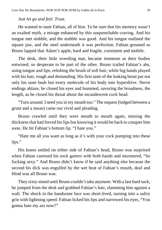### *Just let go and feel. Trust.*

He wanted to taste Fabian, all of him. To be sure that his memory wasn't an exalted myth, a mirage enhanced by this unquenchable craving. And his tongue met stubble, and the stubble was good. And his tongue outlined the square jaw, and the steel underneath it was perfection. Fabian groaned as Bruno lapped that Adam's apple, hard and fragile, consistent and mobile.

The desk, their little wrestling mat, became immense as their bodies entwined, so desperate to be part of the other. Bruno trailed Fabian's abs, using tongue and lips, relishing the brush of soft hair, while big hands played with his hair, rough and demanding. His first taste of the leaking beast put not only his taste buds but every molecule of his body into hyperdrive. Nerve endings ablaze, he closed his eyes and hummed, savoring the broadness, the length, as he closed his throat about the incandescent cock head.

"Turn around. I need you in my mouth too." The request (lodged between a grunt and a moan) came out vivid and pleading.

Bruno crawled until they were mouth to mouth again, missing the thickness that had forced his lips but knowing it would be back to conquer him soon. He bit Fabian's bottom lip. "I hate you."

"Hate me all you want as long as it's with your cock pumping into these lips."

His knees settled on either side of Fabian's head, Bruno was surprised when Fabian caressed his sock garters with both hands and murmured, "So fucking sexy." And Bruno didn't know if he said anything else because the second his dick was engulfed by the wet heat of Fabian's mouth, deaf and blind was all Bruno was.

They sixty-nined until Bruno couldn't take anymore. With a last hard suck, he jumped from the desk and grabbed Fabian's hair, slamming him against a wall. The shock in the handsome face was short-lived, turning into a sultry grin with lightning speed. Fabian licked his lips and narrowed his eyes, "You gonna hate my ass now?"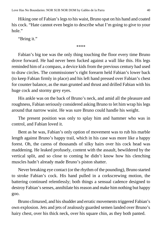Hiking one of Fabian'slegsto his waist, Bruno spat on his hand and coated his cock. "Hate cannot even begin to describe what I'm going to give to your hole."

"Bring it."

\*\*\*\*

Fabian's big toe was the only thing touching the floor every time Bruno drove forward. He had never been fucked against a wall like this. His legs reminded him of a compass, a device kids from the previous century had used to draw circles. The commissioner's right forearm held Fabian's lower back (to keep Fabian firmly in place) and his left hand pressed over Fabian's chest for counter balance, as the man grunted and thrust and drilled Fabian with his huge cock and stormy grey eyes.

His ankle was on the back of Bruno's neck, and amid all the pleasure and roughness, Fabian seriously considered asking Bruno to let him wrap his legs around that narrow waist. He was sure Bruno could handle his weight.

The present position was only to splay him and hammer who was in control, and Fabian loved it.

Bent as he was, Fabian's only option of movement was to rub his marble length against Bruno's happy trail, which in his case was more like a happy forest. Oh, the caress of thousands of silky hairs over his cock head was maddening. He leaked profusely, content with the assault, bewildered by the vertical split, and so close to coming he didn't know how his clenching muscles hadn't already made Bruno's piston shatter.

Never breaking eye contact (or the rhythm of the pounding), Bruno started to stroke Fabian's cock. His hand pulled in a corkscrewing motion, the battering continued relentlessly; both things a sensual cadence designed to destroy Fabian's senses, annihilate his reason and make him nothing but happy goo.

Bruno climaxed, and his shudder and erratic movements triggered Fabian's own explosion. Jets and jets of zealously guarded semen landed over Bruno's hairy chest, over his thick neck, over his square chin, as they both panted.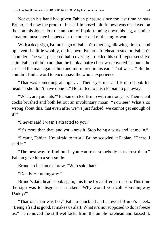Not even his hand had given Fabian pleasure since the last time he saw Bruno, and now the proof of his self-imposed faithfulness was displayed on the commissioner. For the amount of liquid running down his leg, a similar situation must have happened at the other end of this tug-o-war.

With a deep sigh, Bruno let go of Fabian's other leg, allowing him to stand up, even if a little wobbly, on his own. Bruno's forehead rested on Fabian's shoulder. The wet, plastered hair covering it tickled his still hyper-sensitive skin. Fabian didn't care that the hunky, hairy chest was covered in spunk, he crushed the man against him and murmured in his ear, "That was…" But he couldn't find a word to encompass the whole experience.

"That was something all right…" Their eyes met and Bruno shook his head. "I shouldn't have done it." He started to push Fabian to get away.

"What, are you nuts?" Fabian circled Bruno with an iron grip. Their spent cocks brushed and both let out an involuntary moan. "You see? What's so wrong about this, that even after we've just fucked, we cannot get enough of  $it?"$ 

"I never said I wasn't attracted to you."

"It's more than that, and you know it. Stop being a wuss and let me in."

"I can't, Fabian. I'm afraid to trust." Bruno scowled at Fabian. "There, I said it."

"The best way to find out if you can trust somebody is to trust them." Fabian gave him a soft smile.

Bruno arched an eyebrow. "Who said that?"

"Daddy Hemmingway."

Bruno's dark head shook again, this time for a different reason. This time the sigh was to disguise a snicker. "Why would you call Hemmingway Daddy?"

"That old man was hot." Fabian chuckled and caressed Bruno's cheek. "Being afraid is good. It makes us alert. What it's not supposed to do is freeze us." He removed the still wet locks from the ample forehead and kissed it.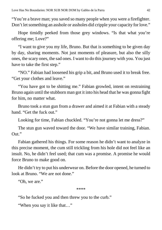"You're a brave man; you saved so many people when you were a firefighter. Don't let something an asshole or assholes did cripple your capacity for love."

Hope timidly peeked from those grey windows. "Is that what you're offering me; Love?"

"I want to give you my life, Bruno. But that is something to be given day by day, sharing moments. Not just moments of pleasure, but also the silly ones, the scary ones, the sad ones. I want to do this journey with you. You just have to take the first step."

"NO." Fabian had loosened his grip a bit, and Bruno used it to break free. "Get your clothes and leave."

"You have got to be shitting me." Fabian growled, intent on restraining Bruno again until the stubborn man got it into his head that he was gonna fight for him, no matter what.

Bruno took a stun gun from a drawer and aimed it at Fabian with a steady hand. "Get the fuck out."

Looking for time, Fabian chuckled. "You're not gonna let me dress?"

The stun gun waved toward the door. "We have similar training, Fabian. Out."

Fabian gathered his things. For some reason he didn't want to analyze in this precise moment, the cum still trickling from his hole did not feel like an insult. No, he didn't feel used; that cum was a promise. A promise he would force Bruno to make good on.

He didn't try to put his underwear on. Before the door opened, he turned to look at Bruno. "We are not done."

"Oh, we are."

\*\*\*\*

"So he fucked you and then threw you to the curb."

"When you say it like that…"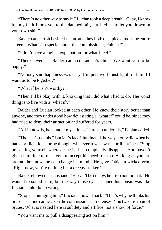"There's no other way to say it." Lucian took a deep breath. "Okay, I know it's my fault I took you to the damned fair, but I refuse to let you drown in your own shit."

Balder came to sit beside Lucian, and they both occupied almost the entire screen. "What's so special about the commissioner, Fabian?"

"I don't have a logical explanation for what I feel."

"There never is." Balder caressed Lucian's chin. "We want you to be happy."

"Nobody said happiness was easy. I'm positive I must fight for him if I want us to be together."

"What if he isn't worthy?"

"Then I'll be okay with it, knowing that I did what I had to do. The worst thing is to live with a 'what if'."

Balder and Lucian looked at each other. He knew their story better than anyone, and they understood how devastating a "what if" could be, since they had tried to deny their attraction and suffered for years.

"All I know is, he's under my skin as I sure am under his," Fabian added.

"Then let's do this." Lucian's face illuminated the way it only did when he had a brilliant idea, or he thought whatever it was, was a brilliant idea. "Stop presenting yourself wherever he is. Just completely disappear. You haven't given him time to miss you, to accept his need for you. As long as you are around, he knows he can change his mind." He gave Fabian a wicked grin. "Right now, you're nothing but a creepy stalker."

Balder elbowed his husband. "He can't be creepy, he'stoo hot for that." He wanted to sound stern, but the way those eyes scanned his cousin was like Lucian could do no wrong.

"Stop encouraging him." Lucian elbowed back. "That's why he thinks his presence alone can weaken the commissioner's defenses. You two are a pair of brutes. What is needed here is subtlety and artifice, not a show of force."

"You want me to pull a disappearing act on him?"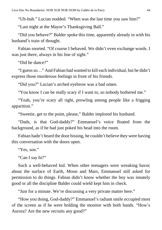"Uh-huh." Lucian nodded. "When was the last time you saw him?"

"Last night at the Mayor's Thanksgiving Ball."

"Did you behave?" Balder spoke this time, apparently already in with his husband's train of thought.

Fabian snorted. "Of course I behaved. We didn't even exchange words. I was just there, always in his line of sight."

"Did he dance?"

"I guessso…" And Fabian had wanted to kill each individual, but he didn't express those murderous feelings in front of his friends.

"Did you?" Lucian's arched eyebrow was a bad omen.

"You know I can be really scary if I want to, so nobody bothered me."

"Yeah, you're scary all right, prowling among people like a frigging apparition."

"Sweetie, get to the point, please," Balder implored his husband.

"Dads, is that God-daddy?" Emmanuel's voice floated from the background, as if he had just poked his head into the room.

Fabian hadn't heard the door hissing, he couldn't believe they were having this conversation with the doors open.

"Yes, son."

"Can I say hi?"

Such a well-behaved kid. When other teenagers were wreaking havoc about the surface of Earth, Moon and Mars, Emmanuel still asked for permission to do things. Fabian didn't know whether the boy was innately good or all the discipline Balder could wield kept him in check.

"Just for a minute. We're discussing a very private matter here."

"How you doing, God-daddy?" Emmanuel's radiant smile occupied most of the screen as if he were holding the monitor with both hands. "How's Aurora? Are the new recruits any good?"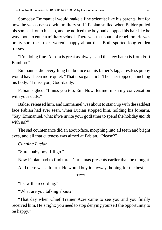Someday Emmanuel would make a fine scientist like his parents, but for now, he was obsessed with military stuff. Fabian smiled when Balder pulled his son back onto his lap, and he noticed the boy had chopped his hair like he was about to enter a military school. There was that spark of rebellion. He was pretty sure the Luxes weren't happy about that. Both sported long golden tresses.

"I'm doing fine. Aurora is great as always, and the new batch is from Fort Bamboo."

Emmanuel did everything but bounce on his father's lap, a restless puppy would have been more quiet. "That is so galactic!" Then he stopped, hunching his body. "I miss you, God-daddy."

Fabian sighed, "I miss you too, Em. Now, let me finish my conversation with your dads."

Balder released him, and Emmanuel was about to stand up with the saddest face Fabian had ever seen, when Lucian stopped him, holding his forearm. "Say, Emmanuel, what if we invite your godfather to spend the holiday *month* with us?"

The sad countenance did an about-face, morphing into all teeth and bright eyes, and all that cuteness was aimed at Fabian, "Please?"

*Cunning Lucian.*

"Sure, baby boy. I'll go."

Now Fabian had to find three Christmas presents earlier than he thought.

And there was a fourth. He would buy it anyway, hoping for the best.

\*\*\*\*

"I saw the recording."

"What are you talking about?"

"That day when Chief Trainer Acre came to see you and you finally received him. He's right; you need to stop denying yourself the opportunity to be happy."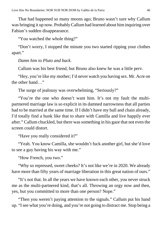That had happened so many moons ago; Bruno wasn't sure why Callum was bringing it up now. ProbablyCallumhad learned about himinquiring over Fabian's sudden disappearance.

"You watched the whole thing?"

"Don't worry, I stopped the minute you two started ripping your clothes apart."

# *Damn him to Pluto and back.*

Callum was his best friend, but Bruno also knew he was a little perv.

"Hey, you're like my mother; I'd never watch you having sex. Mr. Acre on the other hand…"

The surge of jealousy was overwhelming, "Seriously?"

"You're the one who doesn't want him. It's not my fault the multipartnered marriage law is so explicit in its damned narrowness that all parties had to be married at the same time. If I didn't have my ball and chain already, I'd totally find a hunk like that to share with Camilla and live happily ever after." Callum chuckled, but there wassomething in his gaze that not even the screen could distort.

"Have you really considered it?"

"Yeah. You know Camilla, she wouldn't fuck another girl, but she'd love to see a guy having his way with me."

"How French, you two."

"Why so repressed, sweet cheeks? It's not like we're in 2020. We already have more than fifty years of marriage liberation in this great nation of ours."

"It's not that. In all the years we have known each other, you never struck me as the multi-partnered kind, that's all. Throwing an orgy now and then, yes, but you committed to more than one person? Nope."

"Then you weren't paying attention to the signals." Callum put his hand up. "Isee what you're doing, and you're not going to distract me. Stop being a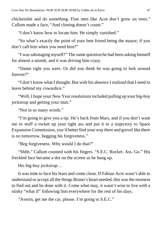chickenshit and do something. Fine men like Acre don't grow on trees." Callum made a face, "And cloning doesn't count."

"I don't know how to locate him. He simply vanished."

"So what's exactly the point of your best friend being the mayor, if you don't call him when you need him?"

"I wassabotaging myself?" The same question he had been asking himself for almost a month, and it was driving him crazy.

"Damn right you were. Or did you think he was going to lurk around forever?"

"I don't know what I thought. But with his absence I realized that I need to leave behind my cowardice."

"Well, I hope your New Year resolutionsincluded pulling up your big-boy jockstrap and getting your man."

"Not in so many words."

"I'm going to give you a tip. He's back from Mars, and if you don't want me to stuff a rocket up your tight ass and put it in a trajectory to Space Expansion Commission, you'd better find your way there and grovel like there is no tomorrow, begging his forgiveness."

"Beg forgiveness. Why would I do that?"

"Shhh." Callum counted with his fingers. "S.E.C. Rocket. Ass. Go." His freckled face became a dot on the screen as he hung up.

His big-boy jockstrap…

It was time to face his fears and come clean. If Fabian Acre wasn't able to understand or accept all the things Bruno's heart needed, this wasthe moment to find out and be done with it. Come what may, it wasn't wise to live with a stinky "what if" following him everywhere for the rest of his days.

"Averin, get me the car, please. I'm going to S.E.C."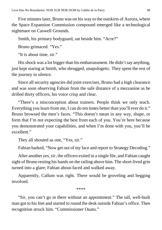Five minutes later, Bruno was on his way to the outskirts of Aurora, where the Space Expansion Commission compound emerged like a technological nightmare on Caswell Grounds.

Smith, his primary bodyguard, sat beside him. "Acre?"

Bruno grimaced. "Yes."

"It is about time, sir."

His shock was a lot bigger than his embarrassment. He didn't say anything, just kept staring at Smith, who shrugged, unapologetic. They spent the rest of the journey in silence.

Since all security agencies did joint exercises, Bruno had a high clearance and was soon observing Fabian from the safe distance of a mezzanine as he drilled thirty officers, his voice crisp and clear.

"There's a misconception about trainers. People think we only teach. Everything you learn from me, I can do ten times better than you'll ever do it." Bruno browsed the men's faces. "This doesn't mean in any way, shape, or form that I'm not expecting the best from each of you. You're here because you demonstrated your capabilities, and when I'm done with you, you'll be excellent."

They all shouted as one, "Yes, sir."

Fabian barked, "Now get out of my face and report to Strategy Decoding."

After another *yes, sir,* the officers exited in a single file, and Fabian caught sight of Bruno resting his hands on the railing above him. The short-lived grin turned into a glare; Fabian about-faced and walked away.

Apparently, Callum was right. There would be groveling and begging involved.

\*\*\*\*

"Sir, you can't go in there without an appointment." The tall, well-built man got to his feet and started to round the desk outside Fabian's office. Then recognition struck him. "Commissioner Ouatu."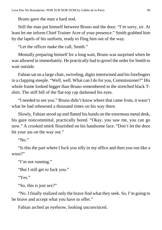Bruno gave the man a hard nod.

Still the man put himself between Bruno and the door. "I'm sorry, sir. At least let me inform Chief Trainer Acre of your presence." Smith grabbed him by the lapels of his uniform, ready to fling him out of the way.

"Let the officer make the call, Smith."

Mentally preparing himself for a long wait, Bruno was surprised when he was allowed in immediately. He practically had to growl the order for Smith to wait outside.

Fabian sat on a large chair, swiveling, digits intertwined and his forefingers in a clapping steeple. "Well, well. What can I do for you, Commissioner?" His whole frame looked bigger than Bruno remembered in the stretched black Tshirt. The stiff bill of the flat-top cap darkened his eyes.

"I needed to see you." Bruno didn't know where that came from, it wasn't what he had rehearsed a thousand times on his way there.

Slowly, Fabian stood up and flatted his hands on the enormous metal desk, his gaze noncommittal, practically bored. "Okay, you saw me, you can go now." A crooked smirk flourished on his handsome face. "Don't let the door hit your ass on the way out."

"No."

"Is this the part where I fuck you silly in my office and then you run like a wuss?"

"I'm not running."

"But I still get to fuck you."

"Yes."

"So, this is just sex?"

"No. I finally realized only the brave find what they seek. So, I'm going to be brave and accept what you have to offer."

Fabian arched an eyebrow, looking unconvinced.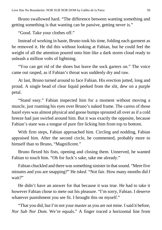Bruno swallowed hard. "The difference between wanting something and getting something is that wanting can be passive, getting never is."

"Good. Take your clothes off."

Instead of working in haste, Bruno took his time, folding each garment as he removed it. He did this without looking at Fabian, but he could feel the weight of all the attention poured onto him like a dark storm cloud ready to unleash a million volts of lightning.

"You can get rid of the shoes but leave the sock garters on." The voice came out rasped, as if Fabian's throat was suddenly dry and raw.

At last, Bruno turned around to face Fabian. His erection jutted, long and proud. A single bead of clear liquid peeked from the slit, dew on a purple petal.

"Stand easy." Fabian inspected him for a moment without moving a muscle, just roaming his eyes over Bruno's naked frame. The caress of those hazel eyes was almost physical and goose bumps sprouted all over as if a cold breeze had just swirled around him. But it was exactly the opposite, because Fabian's stare was a tongue of pure fire licking him from top to bottom.

With firm steps, Fabian approached him. Circling and nodding, Fabian appraised him. After the second circle, he commented, probably more to himself than to Bruno, "Magnificent."

Bruno flexed his fists, opening and closing them. Unnerved, he wanted Fabian to touch him. "Oh for fuck's sake, take me already."

Fabian chuckled and there was something sinister in that sound. "Mere five minutes and you are snapping?" He *tsked*. "Not fair. How many months did *I* wait?"

He didn't have an answer for that because it was true. He had to take it however Fabian chose to mete out his pleasure. "I'm sorry, Fabian. I deserve whatever punishment you see fit. I brought this on myself."

"That you did, but I'm not your master as you are not mine. I said it before, *Nor Sub Nor Dom*. We're equals." A finger traced a horizontal line from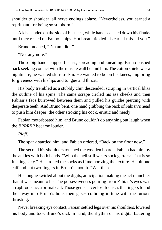shoulder to shoulder, all nerve endings ablaze. "Nevertheless, you earned a reprimand for being so stubborn."

A kiss landed on the side of his neck, while hands coasted down his flanks until they rested on Bruno's hips. Hot breath tickled his ear. "I missed you."

Bruno moaned, "I'm an idiot."

"Not anymore."

Those big hands cupped his ass, spreading and kneading. Bruno pushed back seeking contact with the muscle wall behind him. The cotton shield was a nightmare; he wanted skin-to-skin. He wanted to be on his knees, imploring forgiveness with his lips and tongue and throat.

His body trembled as a stubbly chin descended, scraping in vertical bliss the outline of his spine. The same scrape circled his ass cheeks and then Fabian's face burrowed between them and pulled his guiche piercing with desperate teeth. And Bruno bent, one hand grabbing the back of Fabian's head to push him deeper, the other stroking his cock, erratic and needy.

Fabian motorboated him, and Bruno couldn't do anything but laugh when the *BRRRRR* became louder.

# *Plaff.*

The spank startled him, and Fabian ordered, "Back on the floor now."

The second his shoulders touched the wooden boards, Fabian had him by the ankles with both hands. "Who the hell still wears sock garters? That is so fucking sexy." He stroked the socks as if memorizing the texture. He bit one calf and put two fingers in Bruno's mouth. "Wet these."

His tongue swirled about the digits, anticipation making the act raunchier than it was meant to be. The possessiveness pouring from Fabian's eyes was an aphrodisiac, a primal call. Those gems never lost focus as the fingers found their way into Bruno's hole, their gazes colliding in tune with the furious thrusting.

Never breaking eye contact, Fabian settled legs over his shoulders, lowered his body and took Bruno's dick in hand, the rhythm of his digital battering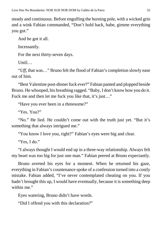steady and continuous. Before engulfing the burning pole, with a wicked grin and a wink Fabian commanded, "Don't hold back, babe, gimme everything you got."

And he got it all.

Incessantly.

For the next thirty-seven days.

Until…

"*Uff*, that was…" Bruno felt the flood of Fabian's completion slowly ease out of him.

"Best Valentine post-dinner fuck ever?" Fabian panted and plopped beside Bruno. He whooped, his breathing ragged. "Baby, I don't know how you do it. Fuck me and then let me fuck you like that, it's just..."

"Have you ever been in a threesome?"

"Yes. You?"

"No." He lied. He couldn't come out with the truth just yet. "But it's something that always intrigued me."

"You know I love you, right?" Fabian's eyes were big and clear.

"Yes, I do."

"I always thought I would end up in a three-way relationship. Always felt my heart was too big for just one man." Fabian peered at Bruno expectantly.

Bruno averted his eyes for a moment. When he returned his gaze, everything in Fabian's countenance spoke of a confession turned into a costly mistake. Fabian added, "I've never contemplated cheating on you. If you hadn't brought this up, I would have eventually, because it is something deep within me."

Eyes watering, Bruno didn't have words.

"Did I offend you with this declaration?"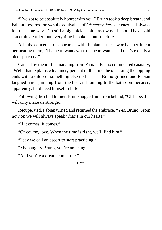"I've got to be absolutely honest with you." Bruno took a deep breath, and Fabian's expression wasthe equivalent of *Oh mercy, here it comes…* "I always felt the same way. I'm still a big chickenshit-slash-wuss. I should have said something earlier, but every time I spoke about it before…"

All his concerns disappeared with Fabian's next words, merriment permeating them, "The heart wants what the heart wants, and that's exactly a nice spit roast."

Carried by the mirth emanating from Fabian, Bruno commented casually, "Well, that explains why ninety percent of the time the one doing the topping ends with a dildo or something else up his ass." Bruno grinned and Fabian laughed hard, jumping from the bed and running to the bathroom because, apparently, he'd peed himself a little.

Following the chief trainer, Bruno hugged himfrombehind, "Oh babe, this will only make us stronger."

Recuperated, Fabian turned and returned the embrace, "Yes, Bruno. From now on we will always speak what's in our hearts."

"If it comes, it comes."

"Of course, love. When the time is right, we'll find him."

"I say we call an escort to start practicing."

"My naughty Bruno, you're amazing."

"And you're a dream come true."

\*\*\*\*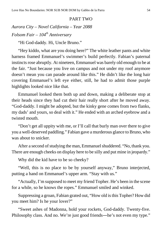#### PART TWO

*Aurora City – Novel California – Year 2088 Folsom Fair – 104th Anniversary*

"Hi God-daddy. Hi, Uncle Bruno."

"Hey kiddo, what are you doing here?" The white leather pants and white harness framed Emmanuel's swimmer's build perfectly. Fabian's paternal instincts rose abruptly. At nineteen, Emmanuel was barely old enough to be at the fair. "Just because you live on campus and not under my roof anymore doesn't mean you can parade around like this." He didn't like the long hair covering Emmanuel's left eye either, still, he had to admit those purple highlights looked nice like that.

Emmanuel looked them both up and down, making a deliberate stop at their heads since they had cut their hair really short after he moved away. "God-daddy. I might be adopted, but the kinky gene comes from two flanks, my dads' and yours, so deal with it." He ended with an arched eyebrow and a twisted mouth.

"Don't get all uppity with me, or I'll call that burly man over there to give you a well-deserved paddling." Fabian gave a murderous glance to Bruno, who was about to snicker.

After a second of studying the man, Emmanuel shuddered. "No, thank you. There are enough cheeks on display here to be silly and put mine in jeopardy."

Why did the kid have to be so cheeky?

"Well, this is no place to be by yourself anyway," Bruno interjected, putting a hand on Emmanuel's upper arm. "Stay with us."

"Actually, I'm supposed to meet my friend Topher. He's been in the scene for a while, so he knows the ropes." Emmanuel smiled and winked.

Suppressing a groan, Fabian grated out, "How old isthis Topher? How did you meet him? Is he your lover?"

"Sweet ashes of Madonna, hold your rockets, God-daddy. Twenty-five. Philosophy class. And no. We're just good friends―he's not even my type."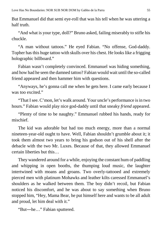But Emmanuel did that semi eye-roll that was his tell when he was uttering a half truth.

"And what is your type, doll?" Bruno asked, failing miserably to stifle his chuckle.

"A man without tattoos." He eyed Fabian. "No offense, God-daddy. Topher has this huge tattoo with skulls over his chest. He looks like a frigging holographic billboard."

Fabian wasn't completely convinced. Emmanuel was hiding something, and how had he seen the damned tattoo? Fabian would wait until the so-called friend appeared and then hammer him with questions.

"Anyways, he's gonna call me when he gets here. I came early because I was too excited."

"That I see. C'mon, let's walk around. Your uncle's performance is in two hours." Fabian would play nice god-daddy until that sneaky *friend* appeared.

"Plenty of time to be naughty." Emmanuel rubbed his hands, ready for mischief.

The kid was adorable but had too much energy, more than a normal nineteen-year-old ought to have. Well, Fabian shouldn't grumble about it; it took them almost two years to bring his godson out of his shell after the debacle with the two Mr. Luxes. Because of that, they allowed Emmanuel certain liberties but this…

They wandered around for a while, enjoying the constant hum of paddling and whipping in open booths, the thumping loud music, the laughter intertwined with moans and groans. Two overly-tattooed and extremely pierced men with platinum Mohawks and leather kilts caressed Emmanuel's shoulders as he walked between them. The boy didn't recoil, but Fabian noticed his discomfort, and he was about to say something when Bruno stopped him, "Hey, Mama Bear, he put himself here and wants to be all adult and proud, let him deal with it."

"But―he…" Fabian sputtered.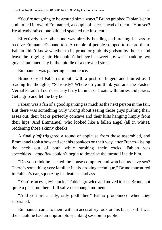"You're not going to be around him always." Bruno grabbed Fabian's chin and turned it toward Emmanuel, a couple of paces ahead of them. "You see? He already raised one kilt and spanked the insolent."

Effectively, the other one was already bending and arching his ass to receive Emmanuel's hand too. A couple of people stopped to record them. Fabian didn't know whether to be proud or grab his godson by the ear and leave the frigging fair. He couldn't believe his sweet boy was spanking two guys simultaneously in the middle of a crowded street.

Emmanuel was gathering an audience.

Bruno closed Fabian's mouth with a push of fingers and blurted as if reading his thoughts, "Seriously? Where do you think you are, the Easter-Vernal Parade? I don't see any furry bunnies or floats with fairies and pixies. Get a grip and let the boy be."

Fabian was a fan of a good spanking as much as the next person in the fair. But there was something truly wrong about seeing those guys pushing their asses out, their backs perfectly concave and their kilts hanging limply from their hips. And Emmanuel, who looked like a fallen angel (all in white), reddening those skinny cheeks.

A final *plaff* triggered a round of applause from those assembled, and Emmanuel took a bow and sent hisspankees on their way, after French-kissing the heck out of both while stroking their cocks. Fabian was speechless―*appalled* couldn't begin to describe the turmoil inside him.

"Do you think he hacked the house computer and watched us have sex? There is something very familiar in his stroking technique," Bruno murmured in Fabian's ear, squeezing his leather-clad ass.

"You're an evil, evil uncle," Fabian growled and moved to kiss Bruno, not quite a peck, neither a full saliva-exchange moment.

"And you are a silly, silly godfather," Bruno pronounced when they separated.

Emmanuel came to them with an accusatory look on his face, as if it was their fault he had an impromptu spanking session in public.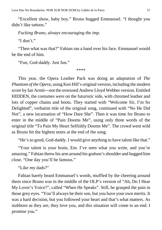"Excellent show, baby boy." Bruno hugged Emmanuel. "I thought you didn't like tattoos."

*Fucking Bruno, always encouraging the imp.*

"I don't"

"Then what was that?" Fabian ran a hand over his face. Emmanuel would be the end of him.

"Fun, God-daddy. Just fun."

\*\*\*\*

This year, the Opera Leather Pack was doing an adaptation of *The Phantom of the Opera*, using Ken Hill's original version, including the modern score by Ian Armit―not the overused Andrew Lloyd Webber version. Entitled HIDDEN, the costumes were on the futuristic side, with chromed leather and lots of copper chains and boots. They started with "Welcome Sir, I'm So Delighted", verbatim title of the original song, continued with "No He Did Not", a new incarnation of "How Dare She". Then it was time for Bruno to enter in the middle of "Pain Dooms Me", using only three words of the original title "To Pain My Heart Selfishly Dooms Me". The crowd went wild as Bruno hit the highest notes at the end of the song.

"He's so good, God-daddy. I would give anything to have talent like that."

"Your talent is your brain, Em. I've seen what you write, and you're amazing." Fabian threw his armaround his godson'sshoulder and hugged him close. "One day you'll be famous."

"Like my dads?"

Fabian barely heard Emmanuel's words, muffled by the cheering around them since Bruno was in the middle of the OLP's version of "Ah, Do I Hear My Lover's Voice?", called "When He Speaks". Still, he grasped the pain in those grey eyes. "You'll always be their son, but you have your own merits. It was a hard decision, but you followed your heart and that's what matters. As stubborn as they are, they love you, and this situation will come to an end. I promise you."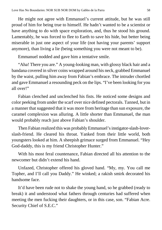He might not agree with Emmanuel's current attitude, but he was still proud of him for being true to himself. He hadn't wanted to be a scientist or have anything to do with space exploration, and, thus he stood his ground. Lamentably, he was forced to flee to Earth to save his hide, but better being miserable in just one aspect of your life (not having your parents' support anymore), than living a lie (being something you were not meant to be).

Emmanuel nodded and gave him a tentative smile.

"Aha! There you are." A young-looking man, with glossy black hair and a bandana covered in silver coins wrapped around his neck, grabbed Emmanuel by the waist, pulling him away from Fabian's embrace. The intruder chortled and gave Emmanuel a resounding peck on the lips. "I've been looking for you all over!"

Fabian clenched and unclenched his fists. He noticed some designs and color peeking from under the scarf over nice defined pectorals. Tanned, but in a manner that suggested that it was more from heritage than sun exposure, the caramel complexion was alluring. A little shorter than Emmanuel, the man would probably reach just above Fabian's shoulder.

Then Fabian realized this was probably Emmanuel'sinstigator-slash-loverslash-friend. He cleared his throat. Yanked from their little world, both youngsters looked at him. A sheepish grimace surged from Emmanuel. "Hey God-daddy, this is my friend Christopher Hunter."

With his most feral countenance, Fabian directed all his attention to the newcomer but didn't extend his hand.

Unfazed, Christopher offered his gloved hand. "My, my. You call me Topher, and I'll call you Daddy." He winked; a rakish smirk decorated his handsome face.

It'd have been rude not to shake the young hand, so he grabbed (ready to break) it and understood what fathers through centuries had suffered when meeting the men fucking their daughters, or in this case, son. "Fabian Acre. Security Chief of S.E.C."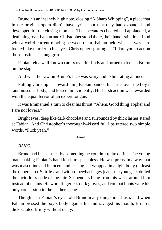Bruno hit an insanely high note, closing "A Sharp Whipping", a piece that in the original opera didn't have lyrics, but that they had expanded and developed for the closing moment. The spectators cheered and applauded, a deafening roar. Fabian and Christopher stood there, their hands still linked and with a weird current moving between them. Fabian held what he was sure looked like murder in his eyes, Christopher sporting an "I dare you to act on those instincts" smug grin.

Fabian felt a well-known caress over his body and turned to look at Bruno on the stage.

And what he saw on Bruno's face was scary and exhilarating at once.

Pulling Christopher toward him, Fabian banded his arms over the boy's taut muscular body, and kissed him violently. His harsh action was rewarded with the equal fervor of an expert tongue.

It was Emmanuel's turn to clear his throat. "Ahem. Good thing Topher and I are not lovers."

Bright eyes, deep like dark chocolate and surrounded by thick lashes stared at Fabian. And Christopher's thoroughly-kissed full lips uttered two simple words. "Fuck yeah."

\*\*\*\*

### *BANG.*

Bruno had been struck by something he couldn't quite define. The young man shaking Fabian's hand left him speechless. He was pretty in a way that was masculine and innocent and teasing, all wrapped in a tight body (at least the upper part). Shirtless and with somewhat baggy jeans, the youngster defied the tacit dress code of the fair. Suspenders hung from his waist around him instead of chains. He wore fingerless dark gloves, and combat boots were his only concession to the leather scene.

The glint in Fabian's eyes told Bruno many things in a flash, and when Fabian pressed the boy's body against his and ravaged his mouth, Bruno's dick saluted firmly without delay.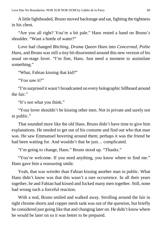A little lightheaded, Bruno moved backstage and sat, fighting the tightness in his chest.

"Are you all right? You're a bit pale." Hans rested a hand on Bruno's shoulder. "Want a bottle of water?"

Love had changed *Bitching, Drama Queen Hans* into *Concerned, Polite Hans*, and Bruno was still a tiny bit disoriented around this new version of his usual on-stage lover. "I'm fine, Hans. Just need a moment to assimilate something."

"What, Fabian kissing that kid?"

"You saw it?"

"I'm surprised it wasn't broadcasted on every holographic billboard around the fair."

"It's not what you think."

"Your lover shouldn't be kissing other men. Not in private and surely not in public."

That sounded more like the old Hans. Bruno didn't have time to give him explanations. He needed to get out of his costume and find out who that man was. He saw Emmanuel hovering around them; perhaps it was the friend he had been waiting for. And wouldn't that be just… complicated.

"I'm going to change, Hans." Bruno stood up. "Thanks."

"You're welcome. If you need anything, you know where to find me." Hans gave him a reassuring smile.

Yeah, that was weirder than Fabian kissing another man in public. What Hans didn't know was that this wasn't a rare occurrence. In all their years together, he and Fabian had kissed and fucked many men together. Still, none had wrung such a forceful reaction.

With a nod, Bruno smiled and walked away. Strolling around the fair in tight chrome shorts and copper mesh tank was out of the question, but briefly he considered just going like that and changing later on. He didn't know where he would be later on so it was better to be prepared.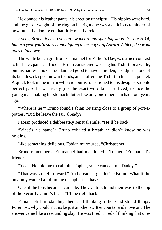He donned hisleather pants, his erection unhelpful. His nipples were hard, and the ghost weight of the ring on his right one was a delicious reminder of how much Fabian loved that little metal circle.

*Focus, Bruno, focus. You can't walk around sporting wood. It's not 2014, but in a year you'llstart campaigning to be mayor of Aurora. A bit of decorum goes a long way.*

The white belt, a gift from Emmanuel for Father's Day, was a nice contrast to his black pants and boots. Bruno considered wearing his T-shirt for a while, but his harness looked too damned good to have it hidden; he adjusted one of its buckles, clasped on wristbands, and stuffed the T-shirt in his back pocket. A quick look in the mirror―his sideburns transitioned to his designer stubble perfectly, so he was ready (not the exact word but it sufficed) to face the young man making hisstomach flutter like only one other man had, four years ago.

"Where is he?" Bruno found Fabian loitering close to a group of port-apotties. "Did he leave the fair already?"

Fabian produced a deliberately sensual smile. "He'll be back."

"What's his name?" Bruno exhaled a breath he didn't know he was holding.

Like something delicious, Fabian murmured, "Christopher."

Bruno remembered Emmanuel had mentioned a Topher. "Emmanuel's friend?"

"Yeah. He told me to call him Topher, so he can call me Daddy."

"That was straightforward." And dread surged inside Bruno. What if the boy only wanted a roll in the metaphorical hay?

One of the loos became available. The aviators found their way to the top of the Security Chief's head. "I'll be right back."

Fabian left him standing there and thinking a thousand stupid things. Foremost, why couldn't this be just another swift encounter and move on? The answer came like a resounding slap. He was tired. Tired of thinking that one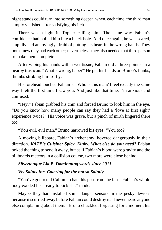night stands could turn into something deeper, when, each time, the third man simply vanished after satisfying his itch.

There was a light in Topher calling him. The same way Fabian's confidence had pulled him like a black hole. And once again, he was scared, stupidly and annoyingly afraid of putting his heart in the wrong hands. They both knew they had each other; nevertheless, they also needed that third person to make them complete.

After wiping his hands with a wet tissue, Fabian did a three-pointer in a nearby trashcan. "What's wrong, babe?" He put his hands on Bruno's flanks, thumbs stroking him softly.

His forehead touched Fabian's. "Who is this man? I feel exactly the same way I felt the first time I saw you. And just like that time, I'm anxious and confused."

"Hey," Fabian grabbed his chin and forced Bruno to look him in the eye. "Do you know how many people can say they had a 'love at first sight' experience twice?" His voice was grave, but a pinch of mirth lingered there too.

"You evil, evil man." Bruno narrowed his eyes. "You too?"

A moving billboard, Fabian's archenemy, hovered dangerously in their direction. *KATE's Cuisine: Spicy. Kinky. What else do you need?* Fabian poked the thing to send it away, but as if Fabian's blood were gravity and the billboards meteors in a collision course, two more were close behind.

# *Silvertongue Lia B. Dominating words since 2011*

# *Viv Saints Inc. Catering for the not so Saintly*

"You've got to tell Callum to ban this pest from the fair." Fabian's whole body exuded his "ready to kick shit" mode.

Maybe they had installed some danger sensors in the pesky devices because it scurried away before Fabian could destroy it. "I never heard anyone else complaining about them." Bruno chuckled, forgetting for a moment his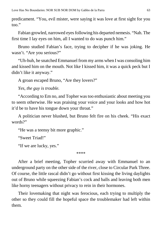predicament. "You, evil mister, were saying it was love at first sight for you too."

Fabian growled, narrowed eyesfollowing his departed nemesis. "Nah. The first time I lay eyes on him, all I wanted to do was punch him."

Bruno studied Fabian's face, trying to decipher if he was joking. He wasn't. "Are you serious?"

"Uh-huh, he snatched Emmanuel from my arms when I was consoling him and kissed him on the mouth. Not like I kissed him, it was a quick peck but I didn't like it anyway."

A groan escaped Bruno, "Are they lovers?"

*Yes, the guy is trouble.*

"According to Em no, and Topher wastoo enthusiastic about meeting you to seem otherwise. He was praising your voice and your looks and how hot it'd be to have his tongue down your throat."

A politician never blushed, but Bruno felt fire on his cheek. "His exact words?"

"He was a teensy bit more graphic."

"Sweet Triad!"

"If we are lucky, yes."

\*\*\*\*

After a brief meeting, Topher scurried away with Emmanuel to an underground party on the other side of the river, close to Circular Park Three. Of course, the little rascal didn't go without first kissing the living daylights out of Bruno while squeezing Fabian's cock and balls and leaving both men like horny teenagers without privacy to rein in their hormones.

Their lovemaking that night was ferocious, each trying to multiply the other so they could fill the hopeful space the troublemaker had left within them.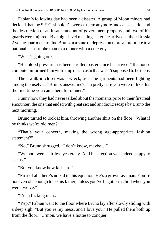Fabian's following day had been a disaster. A group of Moon miners had decided that the S.E.C. shouldn't oversee them anymore and caused a riot and the destruction of an insane amount of government property and two of his guards were injured. Five high-level meetings later, he arrived at their Russia Avenue apartment to find Bruno in a state of depression more appropriate to a national catastrophe than to a dinner with a cute guy.

"What's going on?"

"His blood pressure has been a rollercoaster since he arrived," the house computer informed him with a nip of sarcasm that wasn't supposed to be there.

Their walk-in closet was a wreck, as if the garments had been fighting among themselves. "Bruno, answer me? I'm pretty sure you weren't like this the first time you came here for dinner."

Funny how they had never talked about the moments prior to their first real encounter, the one that ended with great sex and an idiotic escape by Bruno the next morning.

Bruno turned to look at him, throwing another shirt on the floor. "What if he thinks we're old men?"

"That's your concern, making the wrong age-appropriate fashion statement?"

"No," Bruno shrugged. "I don't know, maybe…"

"We both were shirtless yesterday. And his erection was indeed happy to see us."

"But you know how kids are."

"First of all, there's no kid in this equation. He's a grown-ass man. You're not even old enough to be his father, unless you've begotten a child when you were twelve."

"I'm a fucking mess."

"Yep." Fabian went to the floor where Bruno lay after slowly sliding with a deep sigh. "But you're my mess, and I love you." He pulled them both up from the floor. "C'mon, we have a hottie to conquer."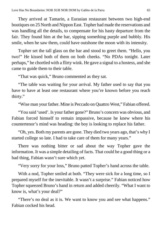They arrived at Tamarin, a Eurasian restaurant between two high-end boutiques on 25 North and Nippon East. Topher had made the reservations and was handling all the details, to compensate for his hasty departure from the fair. They found him at the bar, sipping something purple and bubbly. His smile, when he saw them, could have outshone the moon with its intensity.

Topher set the tall glass on the bar and stood to greet them. "Hello, you two!" He kissed both of them on both cheeks. "No PDAs tonight. Later perhaps," he chortled with a flirty wink. He gave a signal to a hostess, and she came to guide them to their table.

"That was quick," Bruno commented as they sat.

"The table was waiting for your arrival. My father used to say that you have to have at least one restaurant where you're known before you reach thirty."

"Wise man your father. Mine is Peccado on Quattro West," Fabian offered.

"You said 'used'. Is your father gone?" Bruno's concern was obvious, and Fabian forced himself to remain impassive, because he knew where his countertenor's mind was heading: the boy is looking to replace his father.

"Oh, yes. Both my parents are gone. They died two years ago, that's why I started college so late. I had to take care of them for many years."

There was nothing bitter or sad about the way Topher gave the information. It was a simple detailing of facts. That could be a good thing or a bad thing, Fabian wasn't sure which yet.

"Very sorry for your loss," Bruno patted Topher's hand across the table.

With a nod, Topher smiled at both. "They were sick for a long time, so I prepared myself for the inevitable. It wasn't a surprise." Fabian noticed how Topher squeezed Bruno's hand in return and added cheerily. "What I want to know is, what's your deal?"

"There's no deal as it is. We want to know you and see what happens." Fabian cocked his head.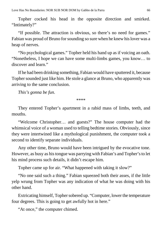Topher cocked his head in the opposite direction and smirked. "Intimately?"

"If possible. The attraction is obvious, so there's no need for games." Fabian was proud of Bruno for sounding so sure when he knew his lover was a heap of nerves.

"No psychological games." Topher held his hand up as if voicing an oath. "Nonetheless, I hope we can have some multi-limbs games, you know… to discover and learn."

If he had been drinking something, Fabian would have sputtered it, because Topher sounded just like him. He stole a glance at Bruno, who apparently was arriving to the same conclusion.

*This's gonna be fun.*

\*\*\*\*

They entered Topher's apartment in a rabid mass of limbs, teeth, and mouths.

"Welcome Christopher… and guests?" The house computer had the whimsical voice of a woman used to telling bedtime stories. Obviously, since they were intertwined like a mythological punishment, the computer took a second to identify separate individuals.

Any other time, Bruno would have been intrigued by the evocative tone. However, as busy as histongue was parrying with Fabian's and Topher'sto let his mind process such details, it didn't escape him.

Topher came up for air. "What happened with taking it slow?"

"No one said such a thing." Fabian squeezed both their asses, if the little yelp wrung from Topher was any indication of what he was doing with his other hand.

Extricating himself, Topher sobered up. "Computer, lower the temperature four degrees. This is going to get awfully hot in here."

"At once," the computer chimed.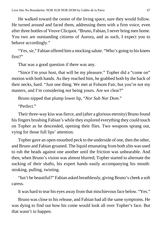He walked toward the center of the living space, sure they would follow. He turned around and faced them, addressing them with a firm voice, even after three bottles of Veuve Clicquot. "Bruno, Fabian, I never bring men home. You two are outstanding citizens of Aurora, and as such, I expect you to behave accordingly."

"Yes, sir," Fabian offered him a mocking salute. "Who's going to his knees" first?"

That was a good question if there was any.

"Since I'm your host, that will be my pleasure." Topher did a "come on" motion with both hands. As they reached him, he grabbed both by the back of their necks, hard. "Just one thing. We met at Folsom Fair, but you're not my masters, and I'm considering *not* being yours. Are we clear?"

Bruno nipped that plump lower lip, "*Nor Sub Nor Dom*."

"Perfect"

Their three-way kiss wasfierce, and (after a glorious eternity) Bruno found hisfingers brushing Fabian's while they explored everything they could touch on Topher as he descended, opening their flies. Two weapons sprang out, vying for those full lips' attention.

Topher gave an open-mouthed peck to the underside of one, then the other, and Bruno and Fabian groaned. The liquid emanating fromboth slits was used to rub the heads against one another until the friction was unbearable. And then, when Bruno's vision was almost blurred; Topher started to alternate the sucking of their shafts, his expert hands easily accompanying his mouth: stroking, pulling, twisting.

"Isn't he beautiful?" Fabian asked breathlessly, giving Bruno's cheek a soft caress.

It was hard to tear his eyes away from that mischievous face below. "Yes."

Bruno was close to his release, and Fabian had all the same symptoms. He was dying to find out how his come would look all over Topher's face. But that wasn't to happen.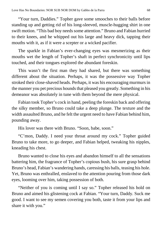"Your turn, Daddies." Topher gave some smooches to their balls before standing up and getting rid of his long-sleeved, muscle-hugging shirt in one swift motion. "This bad boy needs some attention." Bruno and Fabian hurried to their knees, and he whipped out his large and heavy dick, tapping their mouths with it, as if it were a scepter or a wicked pacifier.

The sparkle in Fabian's ever-changing eyes was mesmerizing as their mouths wet the length of Topher's shaft in perfect synchronicity until lips touched, and their tongues explored the abundant foreskin.

This wasn't the first man they had shared, but there was something different about the situation. Perhaps, it was the possessive way Topher stroked their close-shaved heads. Perhaps, it was his encouraging murmurs in the manner you pet precious hounds that pleased you greatly. Something in his demeanor was absolutely in tune with them beyond the mere physical.

Fabian took Topher's cock in hand, peeling the foreskin back and offering the silky member, so Bruno could take a deep plunge. The texture and the width assaulted Bruno, and he felt the urgent need to have Fabian behind him, pounding away.

His lover was there with Bruno. "Soon, babe, soon."

"C'mon, Daddy. I need your throat around my cock." Topher guided Bruno to take more, to go deeper, and Fabian helped, tweaking his nipples, kneading his chest.

Bruno wanted to close his eyes and abandon himself to all the sensations battering him, the fragrance of Topher's copious bush, his sure grasp behind Bruno's head, Fabian's wandering hands, caressing his balls, teasing his hole. Yet, Bruno was enthralled, enslaved to the attention pouring from those dark eyes, looming over him, taking possession of both.

"Neither of you is coming until I say so." Topher released his hold on Bruno and aimed his glistening cock at Fabian. "Your turn, Daddy. Suck me good. I want to see my semen covering you both, taste it from your lips and share it with you."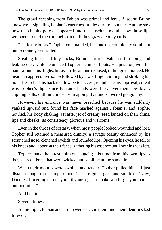The growl escaping from Fabian was primal and feral. A sound Bruno knew well, signaling Fabian's eagerness to devour, to conquer. And he saw how the chunky pole disappeared into that luscious mouth; how those lips wrapped around the caramel skin until they grazed ebony curls.

"Untie my boots." Topher commanded, his tone not completely dominant but extremely controlled.

Stealing licks and tiny sucks, Bruno nurtured Fabian's throbbing and leaking dick while he unlaced Topher's combat boots. His position, with his pants around histhighs, his assin the air and exposed, didn't go unnoticed. He heard an appreciative *mmm* followed by a wet finger circling and stroking his hole. He arched his back to allow better access, to indicate his approval; sure it was Topher's digit since Fabian's hands were busy over their new lover, cupping balls, outlining muscles, mapping that undiscovered geography.

However, his entrance was never breached because he was suddenly yanked upward and found his face mashed against Fabian's, and Topher howled, his body shaking. Jet after jet of creamy seed landed on their chins, lips and cheeks, its consistency glorious and welcome.

Even in the throes of ecstasy, when most people looked wounded and lost, Topher still retained a measured dignity; a savage beauty enhanced by his scrunched nose, clenched eyelids and rounded lips. Opening his eyes, he fell to his knees and lapped at their faces, gathering his essence until nothing was left.

Topher made them taste him once again; this time, from his own lips as they shared kisses that were wicked and sublime at the same time.

When their mouths were swollen and tender, Topher pulled himself just distant enough to encompass both in his roguish gaze and smirked, "Now, Daddies. I'm going to fuck you 'til your orgasms make you forget your names but not mine."

And he did.

Several times.

At midnight, Fabian and Bruno were back in their limo, their identities lost forever.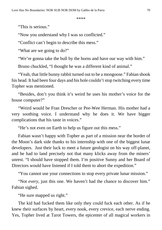\*\*\*\*

"This is serious."

"Now you understand why I was so conflicted."

"Conflict can't begin to describe this mess."

"What are we going to do?"

"We're gonna take the bull by the horns and have our way with him."

Bruno chuckled, "I thought he was a different kind of animal."

"Yeah, that little bunny rabbit turned out to be a mongoose." Fabian shook his head. It had been four days and his hole couldn't stop twitching every time Topher was mentioned.

"Besides, don't you think it's weird he uses his mother's voice for the house computer?"

"Weird would be Fran Drescher or Pee-Wee Herman. His mother had a very soothing voice. I understand why he does it. We have bigger complications that his taste in voices."

"He's not even on Earth to help us figure out this mess."

Fabian wasn't happy with Topher as part of a mission near the border of the Moon's dark side thanks to his internship with one of the biggest lunar developers. Just their luck to meet a future geologist on his way off-planet, and he had to land precisely not that many klicks away from the miners' unrest. "I should have stopped them. I'm positive Sunny and her Board of Directors would have listened if I told them to abort the expedition."

"You cannot use your connections to stop every private lunar mission."

"Not *every*, just this one. We haven't had the chance to discover him." Fabian sighed.

"He sure mapped us right."

The kid had fucked them like only they could fuck each other. As if he knew their surfaces by heart, every nook, every crevice, each nerve ending. Yes, Topher lived at Tarot Towers, the epicenter of all magical workers in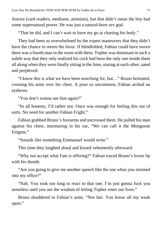Aurora (card readers, mediums, animists), but that didn't mean the boy had some supernatural power. He was just a natural-born sex god.

"That he did, and I can't wait to have my go at charting his body."

They had been so overwhelmed by the expert maneuvers that they didn't have the chance to return the favor. If blindfolded, Fabian could have sworn there was a fourth man in the room with them. Topher was dominant in such a subtle way that they only realized his cock had been the only one inside them all along when they were finally sitting in the limo, staring at each other, sated and perplexed.

"I know this is what we have been searching for, but…" Bruno hesitated, crossing his arms over his chest. A pose so uncommon, Fabian arched an eyebrow.

"You don't wanna see him again?"

"In all honesty, I'd rather not. Once was enough for feeling this out of sorts. No need for another Fabian Fright."

Fabian grabbed Bruno's forearms and uncrossed them. He pulled his man against his chest, murmuring in his ear, "We can call it the Mongoose Enigma."

"Sounds like something Emmanuel would write."

This time they laughed aloud and kissed vehemently afterward.

"Why not accept what Fate is offering?" Fabian traced Bruno's lower lip with his thumb.

"Are you going to give me another speech like the one when you stormed into my office?"

"Nah. You took too long to react to that one. I'm just gonna fuck you senseless until you see the wisdom of letting Topher enter our lives."

Bruno shuddered in Fabian's arms. "Not fair. You know all my weak spots."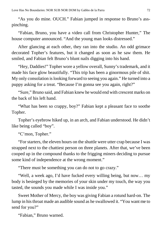"As you do mine. OUCH." Fabian jumped in response to Bruno's asspinching.

"Fabian, Bruno, you have a video call from Christopher Hunter," The house computer announced. "And the young man looks distressed."

After glancing at each other, they ran into the studio. An odd grimace decorated Topher's features, but it changed as soon as he saw them. He smiled, and Fabian felt Bruno's blunt nails digging into his hand.

"Hey, Daddies!" Topher wore a yellow overall, Sunny's trademark, and it made his face glow beautifully. "This trip has been a ginormous pile of shit. My only consolation is looking forward to seeing you again." He turned into a puppy asking for a treat. "Because I'm gonna see you again, right?"

"Sure," Bruno said, and Fabian knew he would end with crescent marks on the back of his left hand.

"What has been so crappy, boy?" Fabian kept a pleasant face to soothe Topher.

Topher's eyebrow hiked up, in an arch, and Fabian understood. He didn't like being called "boy".

"C'mon, Topher."

"For starters, the eleven hours on the shuttle were utter crap because I was strapped next to the chattiest person on three planets. After that, we've been cooped up in the compound thanks to the frigging miners deciding to pursue some kind of independence at the wrong moment."

"There must be something you can do not to go crazy."

"Well, a week ago, I'd have fucked every willing being, but now… my body is besieged by the memories of your skin under my touch, the way you tasted, the sounds you made while I was inside you."

Sweet Mother of Mercy, the boy was giving Fabian a rotund hard-on. The lump in histhroat made an audible sound as he swallowed it. "You want me to send for you?"

"Fabian," Bruno warned.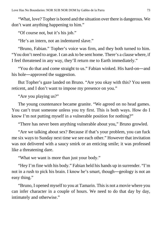"What, love? Topher is bored and the situation over there is dangerous. We don't want anything happening to him."

"Of course not, but it's his job."

"He's an intern, not an indentured slave."

"Bruno, Fabian." Topher's voice was firm, and they both turned to him. "You don't need to argue. I can ask to be sent home. There's a clause where, if I feel threatened in any way, they'll return me to Earth immediately."

"You do that and come straight to us." Fabian winked. His hard-on―and his hole—approved the suggestion.

But Topher's gaze landed on Bruno. "Are you okay with this? You seem reticent, and I don't want to impose my presence on you."

"Are you playing us?"

The young countenance became granite. "We agreed on no head games. You can't trust someone unless you try first. This is both ways. How do I know I'm not putting myself in a vulnerable position for nothing?"

"There has never been anything vulnerable about you," Bruno growled.

"Are we talking about sex? Because if that's your problem, you can fuck me six ways to Sunday next time we see each other." However that invitation was not delivered with a saucy smirk or an enticing smile; it was professed like a threatening dare.

"What we want is more than just your body."

"Hey I'm fine with his body." Fabian held his hands up in surrender. "I'm not in a rush to pick his brain. I know he's smart, though―geology is not an easy thing."

"Bruno, I opened myself to you at Tamarin. This is not a movie where you can infer character in a couple of hours. We need to do that day by day, intimately and otherwise."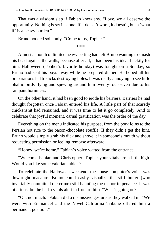That was a wisdom slap if Fabian knew any. "Love, we all deserve the opportunity. Nothing is set in stone. If it doesn't work, it doesn't, but a 'what if' is a heavy burden."

Bruno nodded solemnly. "Come to us, Topher."

\*\*\*\*

Almost a month of limited heavy petting had left Bruno wanting to smash his head against the walls, because after all, it had been his idea. Luckily for him, Halloween (Topher's favorite holiday) was tonight on a Sunday, so Bruno had sent his boys away while he prepared dinner. He hoped all his preparations led to dicks destroying holes. It was really annoying to see little phallic birds flying and spewing around him twenty-four-seven due to his rampant horniness.

On the other hand, it had been good to erode his barriers. Barriers he had thought forgotten once Fabian entered his life. A little part of that scaredy chickenshit had remained, and it was time to let it go completely. And to celebrate that joyful moment, carnal gratification was the order of the day.

Everything on the menu indicated his purpose, from the pork loins to the Persian hot rice to the bacon-chocolate soufflé. If they didn't get the hint, Bruno would simply grab his dick and shove it in someone's mouth without requesting permission or feeling remorse afterward.

"Honey, we're home." Fabian's voice wafted from the entrance.

"Welcome Fabian and Christopher. Topher your vitals are a little high. Would you like some valerian tablets?"

To celebrate the Halloween weekend, the house computer's voice was downright macabre. Bruno could easily visualize the stiff butler (who invariably committed the crime) still haunting the manor in penance. It was hilarious, but he had a vitals alert in front of him. "What's going on?"

"Oh, not much." Fabian did a dismissive gesture as they walked in. "We were with Emmanuel and the Novel California Tribune offered him a permanent position."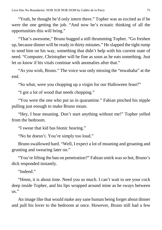"Yeah, he thought he'd only intern there." Topher was as excited as if he were the one getting the job. "And now he's ecstatic thinking of all the opportunities this will bring."

"That's awesome," Bruno hugged a still thrumming Topher. "Go freshen up, because dinner will be ready in thirty minutes." He slapped the tight rump to send him on his way, something that didn't help with his current state of need. "Computer, Christopher will be fine as soon as he eats something. Just let us know if his vitals continue with anomalies after that."

"As you wish, Bruno." The voice was only missing the "mwahaha" at the end.

"So what, were you chopping up a virgin for our Halloween feast?"

"I got a lot of wood that needs chopping."

"You were the one who put us in quarantine." Fabian pinched his nipple pulling just enough to make Bruno moan.

"Hey, I hear moaning. Don't start anything without me!" Topher yelled from the bedroom.

"I swear that kid has bionic hearing."

"No he doesn't. You're simply too loud."

Bruno swallowed hard. "Well, I expect a lot of moaning and groaning and grunting and swearing later on."

"You're lifting the ban on penetration?" Fabian smirk was so hot, Bruno's dick responded instantly.

"Indeed"

"Hmm, it is about time. Need you so much. I can't wait to see your cock deep inside Topher, and his lips wrapped around mine as he sways between us."

An image like that would make any sane human being forget about dinner and pull his lover to the bedroom at once. However, Bruno still had a few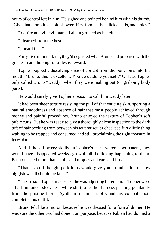hours of control left in him. He sighed and pointed behind himwith histhumb. "Give that monolith a cold shower. First food… then dicks, balls, and holes."

"You're an evil, evil man," Fabian grunted as he left.

"I learned from the best."

"I heard that."

Forty-five minutes later, they'd degusted what Bruno had prepared with the greatest care, hoping for a fleshy reward.

Topher popped a dissolving slice of apricot from the pork loins into his mouth. "Bruno, this is excellent. You've outdone yourself." Of late, Topher only called Bruno "Daddy" when they were making out (or grabbing body parts).

He would surely give Topher a reason to call him Daddy later.

It had been sheer torture resisting the pull of that enticing skin, sporting a natural smoothness and absence of hair that most people achieved through money and painful procedures. Bruno enjoyed the texture of Topher's soft pubic curls. But he was ready to give a thoroughly close inspection to the dark tuft of hair peeking from between his taut muscular cheeks; a furry little thing waiting to be trapped and consumed and still proclaiming the tight treasure in its midst.

And if those flowery skulls on Topher's chest weren't permanent, they would have disappeared weeks ago with all the licking happening to them. Bruno needed more than skulls and nipples and ears and lips.

"Thank you. I thought pork loins would give you an indication of how piggish we all should be later."

"I heard so." Topher made clear he was adjusting his erection. Topher wore a half-buttoned, sleeveless white shirt, a leather harness peeking petulantly from the pristine fabric. Synthetic denim cut-offs and his combat boots completed his outfit.

Bruno felt like a moron because he was dressed for a formal dinner. He was sure the other two had done it on purpose, because Fabian had donned a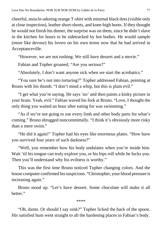cheerful, muscle-adoring orange T-shirt with minimal black dots(visible only at close inspection), leather short-shorts, and knee-high boots. If they thought he would not finish his dinner, the surprise was on them, since he didn't slave in the kitchen for hours to be sidetracked by hot bodies. He would sample (more like devour) his lovers on his own terms now that he had arrived in Acceptanceville.

"However, we are not rushing. We still have dessert and a movie."

Fabian and Topher groaned, "Are you serious?"

"Absolutely, I don't want anyone sick when we start the acrobatics."

"You sure he's not into torturing?" Topher addressed Fabian, pointing at Bruno with his thumb. "I don't mind a whip, but this is plain evil."

"I get what you're saying. He says 'no' and then paints a kinky picture in your brain. Yeah, evil." Fabian waved his fork at Bruno. "Love, I thought the only thing you waited an hour after eating for was swimming."

"As if we're not going to use every limb and other body parts for what's coming." Bruno shrugged noncommittally. "I think it's obviously more risky than a mere swim."

"He did it again!" Topher had his eyes like enormous plates. "How have you survived four years of such darkness?"

"Well, you remember how his body undulates when you're inside him. Wait 'til his tongue can truly explore you, or his hips roll while he fucks you. Then you'll understand why his evilness is worthy."

This was the first time Bruno noticed Topher changing colors. And the house computer confirmed his suspicions. "Christopher, your blood pressure is increasing again."

Bruno stood up. "Let's have dessert. Some chocolate will make it all better."

\*\*\*\*

"Oh, damn. Or should I say oink?" Topher licked the back of the spoon. His satisfied hum went straight to all the hardening places in Fabian's body.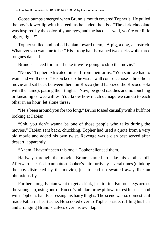Goose bumps emerged when Bruno's mouth covered Topher's. He pulled the boy's lower lip with his teeth as he ended the kiss. "The dark chocolate was inspired by the color of your eyes, and the bacon… well, you're our little piglet, right?"

Topher smiled and pulled Fabian toward them, "A pig, a dog, an ostrich. Whatever you want me to be." His strong hands roamed two backs while three tongues danced.

Bruno surfaced for air. "I take it we're going to skip the movie."

"Nope." Topher extricated himself from their arms. "You said we had to wait, and we'll do so." He picked up the visual wall control, chose a three-hour movie and sat back between them on Rocco (he'd baptized the Rococo sofa with the name), patting their thighs. "Now, be good daddies and no touching or kneading or wet-willies. You know how much damage we can do to each other in an hour, let alone three?"

"He's been around you for too long," Bruno tossed casually with a huff not looking at Fabian.

"Shh, you don't wanna be one of those people who talks during the movies," Fabian sent back, chuckling. Topher had used a quote from a very old movie and added his own twist. Revenge was a dish best served after dessert, apparently.

"Ahem. I haven't seen this one," Topher silenced them.

Halfway through the movie, Bruno started to take his clothes off. Afterward, he tried to unbutton Topher'sshirt furtively several times(thinking the boy distracted by the movie), just to end up swatted away like an obnoxious fly.

Further along, Fabian went to get a drink, just to find Bruno's legs across the young lap, using one of Rocco's tubular throw pillowsto rest his neck and with Topher's hands caressing his hairy thighs. The scene was so domestic, it made Fabian's heart ache. He scooted over to Topher's side, ruffling his hair and arranging Bruno's calves over his own lap.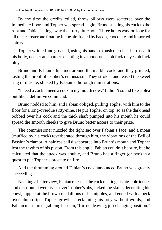By the time the credits rolled, throw pillows were scattered over the immediate floor, and Topher was spread-eagle, Bruno sucking his cock to the root and Fabian eating away that furry little hole. Three hours wastoo long for all the testosterone floating in the air, fueled by bacon, chocolate and imported spirits.

Topher writhed and groaned, using his hands to push their heads to assault his body, deeper and harder, chanting in a monotone, "oh fuck oh yes oh fuck oh yes".

Bruno and Fabian's lips met around the marble cock, and they grinned, tasting the proof of Topher's enthusiasm. They stroked and teased the sweet ring of muscle, slicked by Fabian's thorough ministrations.

"I need a cock. I need a cock in my mouth now." It didn't sound like a plea but like a definitive command.

Bruno nodded to him, and Fabian obliged, pulling Topher with him to the floor for a long-overdue sixty-nine. He put Topher on top, so as the dark head bobbed over his cock and the thick shaft pumped into his mouth he could spread the smooth cheeks to give Bruno better access to their prize.

The commissioner nuzzled the tight sac over Fabian's face, and a moan (muffled by his cock) reverberated through him, the vibrations of the Bell of Passion's clamor. A hairless ball disappeared into Bruno's mouth and Topher lost the rhythm of his piston. From this angle, Fabian couldn't be sure, but he calculated that the attack was double, and Bruno had a finger (or two) in a quest to put Topher's prostate on fire.

And the thrumming around Fabian's cock announced Bruno was greatly succeeding.

Needing a better view, Fabian released the cock making his pie-hole tender and distributed wet kisses over Topher's abs, licked the skulls decorating his chest, nipped at the brown medallions of his nipples, and ended with a peck over plump lips. Topher growled, reclaiming his prey without words, and Fabian murmured grabbing his chin, "I'm not leaving; just changing position."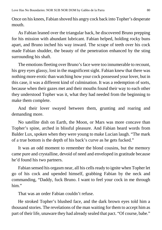Once on his knees, Fabian shoved his angry cock back into Topher's desperate mouth.

As Fabian leaned over the triangular back, he discovered Bruno prepping for his mission with abundant lubricant. Fabian helped, holding rocky buns apart, and Bruno inched his way inward. The scrape of teeth over his cock made Fabian shudder, the beauty of the penetration enhanced by the sting surrounding his shaft.

The emotions fleeting over Bruno's face were too innumerable to recount, his grey eyes glassy, lost in the magnificent sight. Fabian knew that there was nothing more erotic than watching how your cock possessed your lover, but in this case, it was a different kind of culmination. It was a redemption of sorts, because when their gazes met and their mouths found their way to each other they understood Topher was it, what they had needed from the beginning to make them complete.

And their lover swayed between them, grunting and roaring and demanding more.

No satellite dish on Earth, the Moon, or Mars was more concave than Topher's spine, arched in blissful pleasure. And Fabian heard words from Balder Lux, spoken when they were young to make Lucian laugh. "The mark of a true bottom is the depth of his back's curve as he gets fucked."

It was an odd moment to remember the blond cousins, but the memory came pure and crystalline, devoid of need and enveloped in gratitude because he'd found his two partners.

Fabian sensed his orgasm near, all his cells ready to ignite when Topher let go of his cock and upended himself, grabbing Fabian by the neck and commanding, "Daddy, fuck Bruno. I want to feel your cock in me through him"

That was an order Fabian couldn't refuse.

He stroked Topher's blushed face, and the dark brown eyes told him a thousand stories. The revelations of the man waiting for them to accept him as part of their life, unaware they had already sealed that pact. "Of course, babe."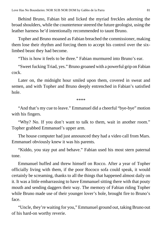Behind Bruno, Fabian bit and licked the myriad freckles adorning the broad shoulders, while the countertenorsteered the future geologist, using the leather harness he'd intentionally recommended to taunt Bruno.

Topher and Bruno moaned as Fabian breached the commissioner, making them lose their rhythm and forcing them to accept his control over the sixlimbed beast they had become.

"This is how it feels to be three." Fabian murmured into Bruno's ear.

"Sweet fucking Triad, yes." Bruno groaned with a powerful grip on Fabian cock.

Later on, the midnight hour smiled upon them, covered in sweat and semen, and with Topher and Bruno deeply entrenched in Fabian's satisfied hole.

\*\*\*\*

"And that's my cue to leave." Emmanuel did a cheerful "bye-bye" motion with his fingers.

"Why? No. If you don't want to talk to them, wait in another room." Topher grabbed Emmanuel's upper arm.

The house computer had just announced they had a video call from Mars. Emmanuel obviously knew it was his parents.

"Kiddo, you stay put and behave." Fabian used his most stern paternal tone.

Emmanuel huffed and threw himself on Rocco. After a year of Topher officially living with them, if the poor Rococo sofa could speak, it would certainly be screaming, thanks to all the things that happened almost daily on it. It was a little embarrassing to have Emmanuel sitting there with that pouty mouth and sending daggers their way. The memory of Fabian riding Topher while Bruno made use of their younger lover's hole, brought fire to Bruno's face.

"Uncle, they're waiting for you," Emmanuel ground out, taking Bruno out of his hard-on worthy reverie.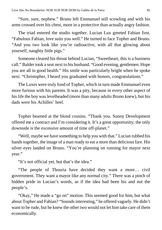"Sure, sure, nephew." Bruno left Emmanuel still scowling and with his arms crossed over his chest, more in a protective than actually angry fashion.

The triad entered the studio together. Lucian Lux greeted Fabian first. "Fabulous Fabian, love suits you well." He turned to face Topher and Bruno. "And you two look like you're radioactive, with all that glowing about yourself, naughty little pigs."

Someone cleared his throat behind Lucian, "Sweetheart, this is a business call." Balder took a seat next to his husband. "Good evening, gentlemen. Hope you are all in good health." His smile was particularly bright when he spoke next. "Christopher, I heard you graduated with honors, congratulations."

The Luxes were truly fond of Topher, which in turn made Emmanuel even more furious with his parents. It was a pity, because in every other aspect of hislife the boy was levelheaded (more than many adults Bruno knew), but his dads were his Achilles' heel.

Topher beamed at the blond cousins. "Thank you. Sunny Development offered me a contract and I'm considering it. It's a great opportunity; the only downside is the excessive amount of time off-planet."

"Well, maybe we have something to help you with that." Lucian rubbed his hands together, the image of a man ready to eat a more than delicious fare. His silver eyes landed on Bruno. "You're planning on running for mayor next year."

"It's not official yet, but that's the idea."

"The people of Thouria have decided they want a more… civil government. They want a mayor like any normal city." There was a pinch of hidden pride in Lucian's words, as if the idea had been his and not the people's.

"Okay," He made a "go on" motion. This seemed good for him, but what about Topher and Fabian? "Soundsinteresting," he offered vaguely. He didn't want to be rude, but he knew the other two would not let him take care of them economically.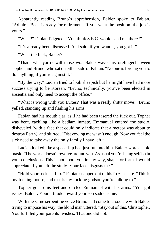Apparently reading Bruno's apprehension, Balder spoke to Fabian. "Admiral Beck is ready for retirement. If you want the position, the job is yours."

"What?" Fabian fidgeted. "You think S.E.C. would send me there?"

"It's already been discussed. As I said, if you want it, you got it."

"What the fuck, Balder?"

"That is what you do with those two." Balder waved his forefinger between Topher and Bruno, who sat on either side of Fabian. "No one is forcing you to do anything, if you're against it."

"By the way," Lucian tried to look sheepish but he might have had more success trying to be Korean, "Bruno, technically, you've been elected in absentia and only need to accept the office."

"What is wrong with you Luxes? That was a really shitty move!" Bruno yelled, standing up and flailing his arms.

Fabian had his mouth ajar, as if he had been tasered the fuck out. Topher was bent, cackling like a bedlam inmate. Emmanuel entered the studio, disheveled (with a face that could only indicate that a meteor was about to destroy Earth), and blurted, "Disavowing me wasn't enough. Now you feel the sick need to take away the only family I have left."

Lucian looked like a spaceship had just run into him. Balder wore a stoic mask. "The world doesn't revolve around you. As usual you're being selfish in your conclusions. This is not about you in any way, shape, or form. I would appreciate if you left the study. Your face disgusts me."

"Hold your rockets, Lux." Fabian snapped out of his frozen state. "This is my fucking house, and that is my fucking godson you're talking to."

Topher got to his feet and circled Emmanuel with his arms. "You got issues, Balder. Your attitude toward your son saddens me."

With the same serpentine voice Bruno had come to associate with Balder trying to impose his way, the blond man uttered. "Stay out of this, Christopher. You fulfilled your parents' wishes. That one did not."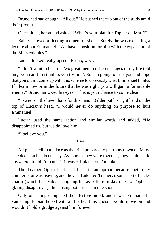Bruno had had enough, "All out." He pushed the trio out of the study amid their protests.

Once alone, he sat and asked, "What's your plan for Topher on Mars?"

Balder showed a fleeting moment of shock. Surely, he was expecting a lecture about Emmanuel. "We have a position for him with the expansion of the Mars colonies."

Lucian looked really upset, "Bruno, we…"

"I don't want to hear it. Two great men in different stages of my life told me, 'you can't trust unless you try first'. So I'm going to trust you and hope that you didn't come up with thisscheme to do exactly what Emmanuel thinks. If I learn now or in the future that he was right, you will gain a formidable enemy." Bruno narrowed his eyes. "This is your chance to come clean."

"I swear on the love I have for this man," Balder put his right hand on the top of Lucian's head, "I would never do anything on purpose to hurt Emmanuel."

Lucian used the same action and similar words and added, "He disappointed us, but we do love him."

"I believe you."

\*\*\*\*

All pieces fell in to place as the triad prepared to put roots down on Mars. The decision had been easy. As long as they were together, they could settle anywhere; it didn't matter if it was off-planet or Timbuktu.

The Leather Opera Pack had been in an uproar because their only countertenor was leaving, and they had adopted Topher as some sort of lucky charm (which had Fabian laughing his ass off from day one, to Topher's glaring disapproval), thus losing both assets in one shot.

Only one thing dampened their festive mood, and it was Emmanuel's vanishing. Fabian hoped with all his heart his godson would move on and wouldn't hold a grudge against him forever.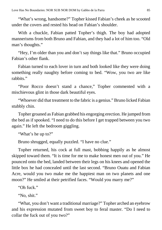"What's wrong, handsome?" Topher kissed Fabian's cheek as he scooted under the covers and rested his head on Fabian's shoulder.

With a chuckle, Fabian patted Topher's thigh. The boy had adopted mannerisms from both Bruno and Fabian, and they had a lot of him too. "Old man's thoughts."

"Hey, I'm older than you and don't say things like that." Bruno occupied Fabian's other flank.

Fabian turned to each lover in turn and both looked like they were doing something really naughty before coming to bed. "Wow, you two are like rabbits"

"Poor Rocco doesn't stand a chance," Topher commented with a mischievous glint in those dark beautiful eyes.

"Whoever did that treatment to the fabric is a genius." Bruno licked Fabian stubbly chin.

Topher groaned as Fabian grabbed his engorging erection. He jumped from the bed as if spooked. "I need to do this before I get trapped between you two again." He left the bedroom giggling.

"What's he up to?"

Bruno shrugged, equally puzzled. "I have no clue."

Topher returned, his cock at full mast, bobbing happily as he almost skipped toward them. "It is time for me to make honest men out of you." He pounced onto the bed, landed between their legs on his knees and opened the little box he had concealed until the last second. "Bruno Ouatu and Fabian Acre, would you two make me the happiest man on two planets and one moon?" He smiled at their petrified faces. "Would you marry me?"

"Oh fuck."

"No, shit."

"What, you don't want a traditional marriage?" Topher arched an eyebrow and his expression mutated from sweet boy to feral master. "Do I need to collar the fuck out of you two?"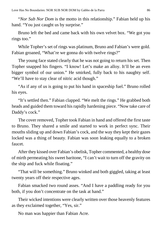"*Nor Sub Nor Dom* is the motto in this relationship." Fabian held up his hand. "You just caught us by surprise."

Bruno left the bed and came back with his own velvet box. "We got you rings too."

While Topher's set of rings was platinum, Bruno and Fabian's were gold. Fabian groaned, "What're we gonna do with twelve rings?"

The young face stated clearly that he was not going to return his set. Then Topher snapped his fingers. "I know! Let's make an alloy. It'll be an even bigger symbol of our union." He smirked, fully back to his naughty self. "We'll have to stay clear of nitric acid though."

"As if any of us is going to put his hand in spaceship fuel." Bruno rolled his eyes.

"It's settled then." Fabian clapped. "We melt the rings." He grabbed both heads and guided them toward his rapidly hardening piece. "Now take care of Daddy's cock."

The cover removed, Topher took Fabian in hand and offered the first taste to Bruno. They shared a smile and started to work in perfect sync. Their mouths sliding up and down Fabian's cock, and the way they kept their gazes locked was a thing of beauty. Fabian was soon leaking equally to a broken faucet.

After they kissed over Fabian's obelisk, Topher commented, a healthy dose of mirth permeating his sweet baritone, "I can't wait to turn off the gravity on the ship and fuck while floating."

"That will be something." Bruno winked and both giggled, taking at least twenty years off their respective ages.

Fabian smacked two round asses. "And I have a paddling ready for you both, if you don't concentrate on the task at hand."

Their wicked intentions were clearly written over those heavenly features as they exclaimed together, "Yes, sir."

No man was happier than Fabian Acre.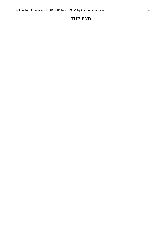## **THE END**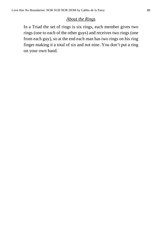## *About the Rings*

In a Triad the set of rings is six rings, each member gives two rings (one to each of the other guys) and receives two rings (one from each guy), so at the end each man has two rings on his ring finger making it a total of six and not nine. You don't put a ring on your own hand.